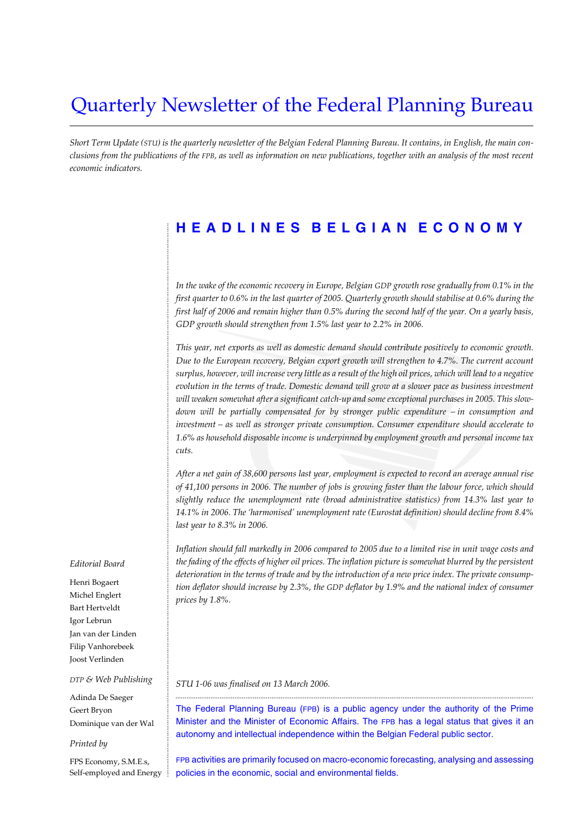# Quarterly Newsletter of the Federal Planning Bureau

*Short Term Update (STU) is the quarterly newsletter of the Belgian Federal Planning Bureau. It contains, in English, the main conclusions from the publications of the FPB, as well as information on new publications, together with an analysis of the most recent economic indicators.*

## **HEADLINES BELGIAN ECONOMY**

*In the wake of the economic recovery in Europe, Belgian GDP growth rose gradually from 0.1% in the first quarter to 0.6% in the last quarter of 2005. Quarterly growth should stabilise at 0.6% during the first half of 2006 and remain higher than 0.5% during the second half of the year. On a yearly basis, GDP growth should strengthen from 1.5% last year to 2.2% in 2006.*

*This year, net exports as well as domestic demand should contribute positively to economic growth. Due to the European recovery, Belgian export growth will strengthen to 4.7%. The current account surplus, however, will increase very little as a result of the high oil prices, which will lead to a negative evolution in the terms of trade. Domestic demand will grow at a slower pace as business investment will weaken somewhat after a significant catch-up and some exceptional purchases in 2005. This slowdown will be partially compensated for by stronger public expenditure – in consumption and investment – as well as stronger private consumption. Consumer expenditure should accelerate to 1.6% as household disposable income is underpinned by employment growth and personal income tax cuts.*

*After a net gain of 38,600 persons last year, employment is expected to record an average annual rise of 41,100 persons in 2006. The number of jobs is growing faster than the labour force, which should slightly reduce the unemployment rate (broad administrative statistics) from 14.3% last year to 14.1% in 2006. The 'harmonised' unemployment rate (Eurostat definition) should decline from 8.4% last year to 8.3% in 2006.*

*Inflation should fall markedly in 2006 compared to 2005 due to a limited rise in unit wage costs and the fading of the effects of higher oil prices. The inflation picture is somewhat blurred by the persistent deterioration in the terms of trade and by the introduction of a new price index. The private consumption deflator should increase by 2.3%, the GDP deflator by 1.9% and the national index of consumer prices by 1.8%.*

*STU 1-06 was finalised on 13 March 2006.*

The Federal Planning Bureau (FPB) is a public agency under the authority of the Prime Minister and the Minister of Economic Affairs. The FPB has a legal status that gives it an autonomy and intellectual independence within the Belgian Federal public sector.

..................................................................................................................................................................................................

FPB activities are primarily focused on macro-economic forecasting, analysing and assessing policies in the economic, social and environmental fields.

#### *Editorial Board*

............................................................................................................................................................................................................................................................................................................

Henri Bogaert Michel Englert Bart Hertveldt Igor Lebrun Jan van der Linden Filip Vanhorebeek Joost Verlinden

#### *DTP & Web Publishing*

Adinda De Saeger Geert Bryon Dominique van der Wal

#### *Printed by*

FPS Economy, S.M.E.s, Self-employed and Energy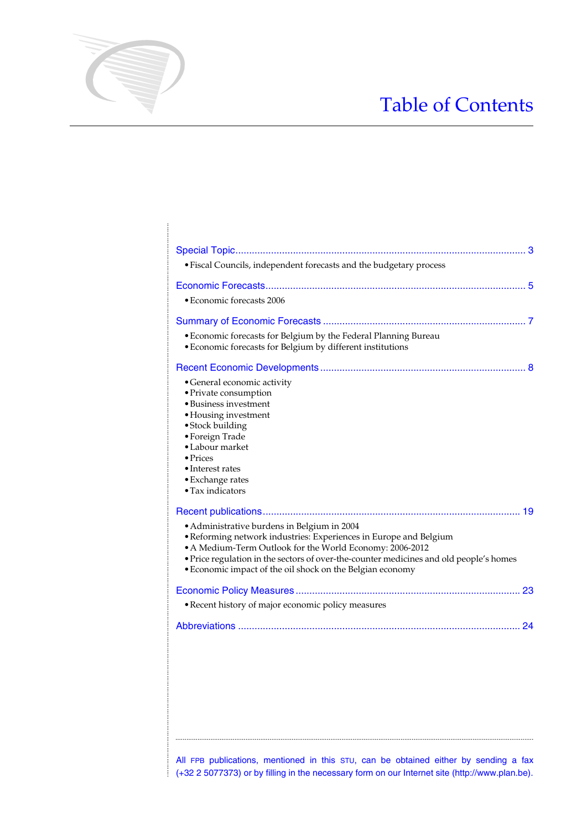# Table of Contents

| • Economic forecasts for Belgium by the Federal Planning Bureau<br>· Economic forecasts for Belgium by different institutions                                                                                                                                                                                                       |
|-------------------------------------------------------------------------------------------------------------------------------------------------------------------------------------------------------------------------------------------------------------------------------------------------------------------------------------|
| • General economic activity<br>· Private consumption<br>• Business investment<br>• Housing investment<br>· Stock building<br>• Foreign Trade<br>• Labour market<br>$\bullet$ Prices<br>$\bullet$ Interest rates<br>• Exchange rates<br>$\bullet$ Tax indicators                                                                     |
| • Administrative burdens in Belgium in 2004<br>• Reforming network industries: Experiences in Europe and Belgium<br>• A Medium-Term Outlook for the World Economy: 2006-2012<br>· Price regulation in the sectors of over-the-counter medicines and old people's homes<br>• Economic impact of the oil shock on the Belgian economy |
|                                                                                                                                                                                                                                                                                                                                     |
| • Recent history of major economic policy measures                                                                                                                                                                                                                                                                                  |

............................................................................................................................................................................................................................................................................................................

All FPB publications, mentioned in this STU, can be obtained either by sending a fax  $\frac{1}{2}$  (+32 2 5077373) or by filling in the necessary form on our Internet site (http://www.plan.be).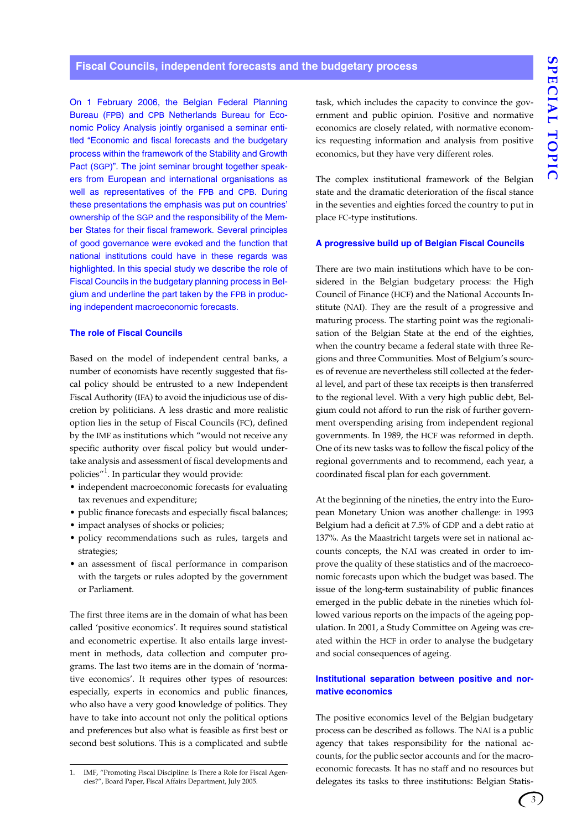#### **Fiscal Councils, independent forecasts and the budgetary process**

On 1 February 2006, the Belgian Federal Planning Bureau (FPB) and CPB Netherlands Bureau for Economic Policy Analysis jointly organised a seminar entitled "Economic and fiscal forecasts and the budgetary process within the framework of the Stability and Growth Pact (SGP)". The joint seminar brought together speakers from European and international organisations as well as representatives of the FPB and CPB. During these presentations the emphasis was put on countries' ownership of the SGP and the responsibility of the Member States for their fiscal framework. Several principles of good governance were evoked and the function that national institutions could have in these regards was highlighted. In this special study we describe the role of Fiscal Councils in the budgetary planning process in Belgium and underline the part taken by the FPB in producing independent macroeconomic forecasts.

#### **The role of Fiscal Councils**

Based on the model of independent central banks, a number of economists have recently suggested that fiscal policy should be entrusted to a new Independent Fiscal Authority (IFA) to avoid the injudicious use of discretion by politicians. A less drastic and more realistic option lies in the setup of Fiscal Councils (FC), defined by the IMF as institutions which "would not receive any specific authority over fiscal policy but would undertake analysis and assessment of fiscal developments and policies"<sup>1</sup>. In particular they would provide:

- independent macroeconomic forecasts for evaluating tax revenues and expenditure;
- public finance forecasts and especially fiscal balances;
- impact analyses of shocks or policies;
- policy recommendations such as rules, targets and strategies;
- an assessment of fiscal performance in comparison with the targets or rules adopted by the government or Parliament.

The first three items are in the domain of what has been called 'positive economics'. It requires sound statistical and econometric expertise. It also entails large investment in methods, data collection and computer programs. The last two items are in the domain of 'normative economics'. It requires other types of resources: especially, experts in economics and public finances, who also have a very good knowledge of politics. They have to take into account not only the political options and preferences but also what is feasible as first best or second best solutions. This is a complicated and subtle

1. IMF, "Promoting Fiscal Discipline: Is There a Role for Fiscal Agencies?", Board Paper, Fiscal Affairs Department, July 2005.

task, which includes the capacity to convince the government and public opinion. Positive and normative economics are closely related, with normative economics requesting information and analysis from positive economics, but they have very different roles.

The complex institutional framework of the Belgian state and the dramatic deterioration of the fiscal stance in the seventies and eighties forced the country to put in place FC-type institutions.

#### **A progressive build up of Belgian Fiscal Councils**

There are two main institutions which have to be considered in the Belgian budgetary process: the High Council of Finance (HCF) and the National Accounts Institute (NAI). They are the result of a progressive and maturing process. The starting point was the regionalisation of the Belgian State at the end of the eighties, when the country became a federal state with three Regions and three Communities. Most of Belgium's sources of revenue are nevertheless still collected at the federal level, and part of these tax receipts is then transferred to the regional level. With a very high public debt, Belgium could not afford to run the risk of further government overspending arising from independent regional governments. In 1989, the HCF was reformed in depth. One of its new tasks was to follow the fiscal policy of the regional governments and to recommend, each year, a coordinated fiscal plan for each government.

At the beginning of the nineties, the entry into the European Monetary Union was another challenge: in 1993 Belgium had a deficit at 7.5% of GDP and a debt ratio at 137%. As the Maastricht targets were set in national accounts concepts, the NAI was created in order to improve the quality of these statistics and of the macroeconomic forecasts upon which the budget was based. The issue of the long-term sustainability of public finances emerged in the public debate in the nineties which followed various reports on the impacts of the ageing population. In 2001, a Study Committee on Ageing was created within the HCF in order to analyse the budgetary and social consequences of ageing.

#### **Institutional separation between positive and normative economics**

The positive economics level of the Belgian budgetary process can be described as follows. The NAI is a public agency that takes responsibility for the national accounts, for the public sector accounts and for the macroeconomic forecasts. It has no staff and no resources but delegates its tasks to three institutions: Belgian Statis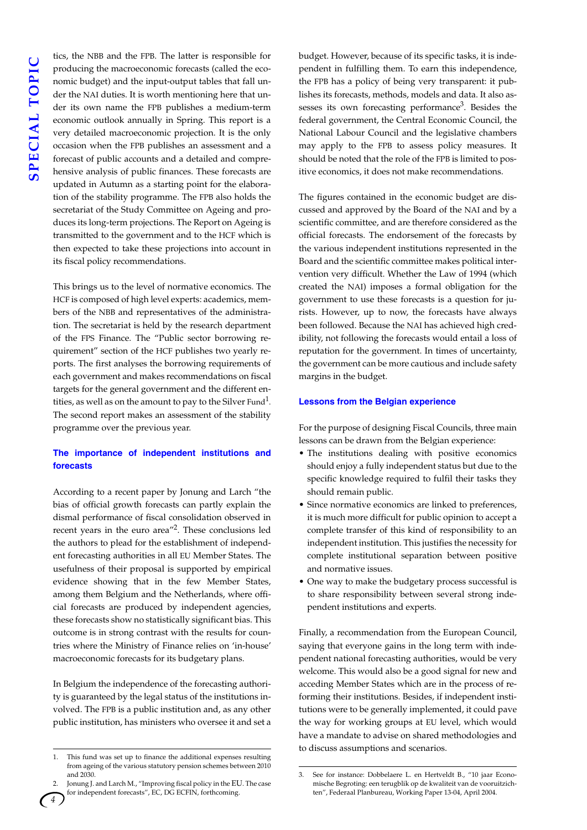tics, the NBB and the FPB. The latter is responsible for producing the macroeconomic forecasts (called the economic budget) and the input-output tables that fall under the NAI duties. It is worth mentioning here that under its own name the FPB publishes a medium-term economic outlook annually in Spring. This report is a very detailed macroeconomic projection. It is the only occasion when the FPB publishes an assessment and a forecast of public accounts and a detailed and comprehensive analysis of public finances. These forecasts are updated in Autumn as a starting point for the elaboration of the stability programme. The FPB also holds the secretariat of the Study Committee on Ageing and produces its long-term projections. The Report on Ageing is transmitted to the government and to the HCF which is then expected to take these projections into account in its fiscal policy recommendations.

This brings us to the level of normative economics. The HCF is composed of high level experts: academics, members of the NBB and representatives of the administration. The secretariat is held by the research department of the FPS Finance. The "Public sector borrowing requirement" section of the HCF publishes two yearly reports. The first analyses the borrowing requirements of each government and makes recommendations on fiscal targets for the general government and the different entities, as well as on the amount to pay to the Silver Fund<sup>1</sup>. The second report makes an assessment of the stability programme over the previous year.

#### **The importance of independent institutions and forecasts**

According to a recent paper by Jonung and Larch "the bias of official growth forecasts can partly explain the dismal performance of fiscal consolidation observed in recent years in the euro area<sup>"2</sup>. These conclusions led the authors to plead for the establishment of independent forecasting authorities in all EU Member States. The usefulness of their proposal is supported by empirical evidence showing that in the few Member States, among them Belgium and the Netherlands, where official forecasts are produced by independent agencies, these forecasts show no statistically significant bias. This outcome is in strong contrast with the results for countries where the Ministry of Finance relies on 'in-house' macroeconomic forecasts for its budgetary plans.

In Belgium the independence of the forecasting authority is guaranteed by the legal status of the institutions involved. The FPB is a public institution and, as any other public institution, has ministers who oversee it and set a

budget. However, because of its specific tasks, it is independent in fulfilling them. To earn this independence, the FPB has a policy of being very transparent: it publishes its forecasts, methods, models and data. It also assesses its own forecasting performance<sup>3</sup>. Besides the federal government, the Central Economic Council, the National Labour Council and the legislative chambers may apply to the FPB to assess policy measures. It should be noted that the role of the FPB is limited to positive economics, it does not make recommendations.

The figures contained in the economic budget are discussed and approved by the Board of the NAI and by a scientific committee, and are therefore considered as the official forecasts. The endorsement of the forecasts by the various independent institutions represented in the Board and the scientific committee makes political intervention very difficult. Whether the Law of 1994 (which created the NAI) imposes a formal obligation for the government to use these forecasts is a question for jurists. However, up to now, the forecasts have always been followed. Because the NAI has achieved high credibility, not following the forecasts would entail a loss of reputation for the government. In times of uncertainty, the government can be more cautious and include safety margins in the budget.

#### **Lessons from the Belgian experience**

For the purpose of designing Fiscal Councils, three main lessons can be drawn from the Belgian experience:

- The institutions dealing with positive economics should enjoy a fully independent status but due to the specific knowledge required to fulfil their tasks they should remain public.
- Since normative economics are linked to preferences, it is much more difficult for public opinion to accept a complete transfer of this kind of responsibility to an independent institution. This justifies the necessity for complete institutional separation between positive and normative issues.
- One way to make the budgetary process successful is to share responsibility between several strong independent institutions and experts.

Finally, a recommendation from the European Council, saying that everyone gains in the long term with independent national forecasting authorities, would be very welcome. This would also be a good signal for new and acceding Member States which are in the process of reforming their institutions. Besides, if independent institutions were to be generally implemented, it could pave the way for working groups at EU level, which would have a mandate to advise on shared methodologies and to discuss assumptions and scenarios.

<sup>1.</sup> This fund was set up to finance the additional expenses resulting from ageing of the various statutory pension schemes between 2010 and 2030.

Jonung J. and Larch M., "Improving fiscal policy in the EU. The case for independent forecasts", EC, DG ECFIN, forthcoming.

<sup>3.</sup> See for instance: Dobbelaere L. en Hertveldt B., "10 jaar Economische Begroting: een terugblik op de kwaliteit van de vooruitzichten", Federaal Planbureau, Working Paper 13-04, April 2004.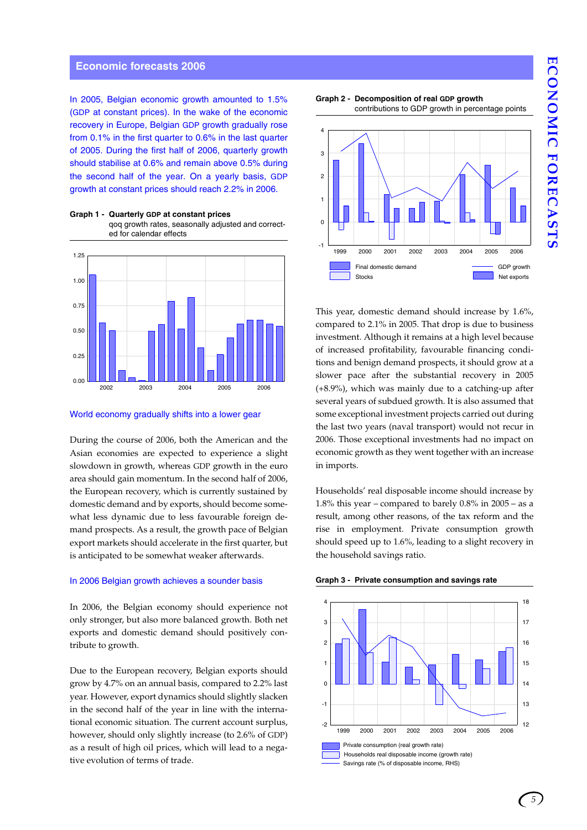# ECONOMIC FORECASTS **ECONOMIC FORECASTS**

#### **Economic forecasts 2006**

In 2005, Belgian economic growth amounted to 1.5% (GDP at constant prices). In the wake of the economic recovery in Europe, Belgian GDP growth gradually rose from 0.1% in the first quarter to 0.6% in the last quarter of 2005. During the first half of 2006, quarterly growth should stabilise at 0.6% and remain above 0.5% during the second half of the year. On a yearly basis, GDP growth at constant prices should reach 2.2% in 2006.

2002 2003 2004 2005 2006 0.00 0.25 0.50 0.75 1.00

#### **Graph 1 - Quarterly GDP at constant prices** qoq growth rates, seasonally adjusted and corrected for calendar effects

#### World economy gradually shifts into a lower gear

During the course of 2006, both the American and the Asian economies are expected to experience a slight slowdown in growth, whereas GDP growth in the euro area should gain momentum. In the second half of 2006, the European recovery, which is currently sustained by domestic demand and by exports, should become somewhat less dynamic due to less favourable foreign demand prospects. As a result, the growth pace of Belgian export markets should accelerate in the first quarter, but is anticipated to be somewhat weaker afterwards.

#### In 2006 Belgian growth achieves a sounder basis

In 2006, the Belgian economy should experience not only stronger, but also more balanced growth. Both net exports and domestic demand should positively contribute to growth.

Due to the European recovery, Belgian exports should grow by 4.7% on an annual basis, compared to 2.2% last year. However, export dynamics should slightly slacken in the second half of the year in line with the international economic situation. The current account surplus, however, should only slightly increase (to 2.6% of GDP) as a result of high oil prices, which will lead to a negative evolution of terms of trade.





This year, domestic demand should increase by 1.6%, compared to 2.1% in 2005. That drop is due to business investment. Although it remains at a high level because of increased profitability, favourable financing conditions and benign demand prospects, it should grow at a slower pace after the substantial recovery in 2005 (+8.9%), which was mainly due to a catching-up after several years of subdued growth. It is also assumed that some exceptional investment projects carried out during the last two years (naval transport) would not recur in 2006. Those exceptional investments had no impact on economic growth as they went together with an increase in imports.

Households' real disposable income should increase by 1.8% this year – compared to barely  $0.8\%$  in  $2005$  – as a result, among other reasons, of the tax reform and the rise in employment. Private consumption growth should speed up to 1.6%, leading to a slight recovery in the household savings ratio.



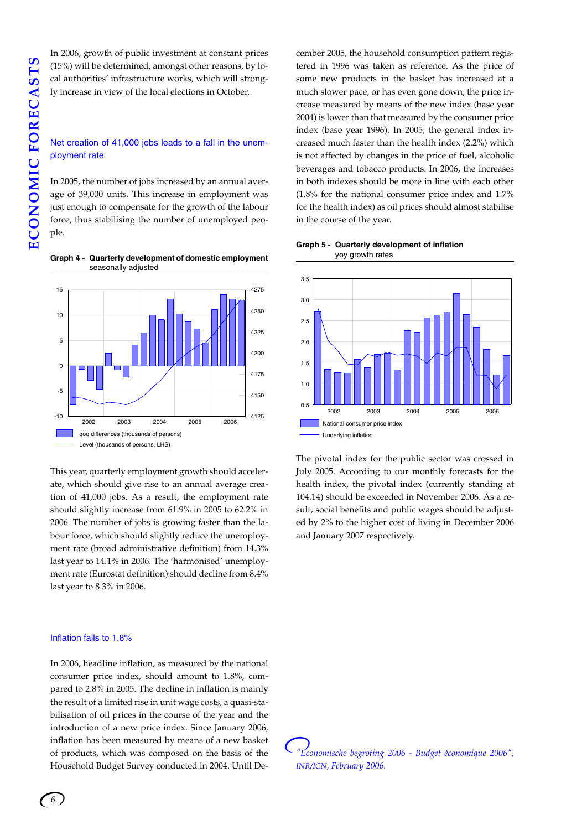(15%) will be determined, amongst other reasons, by local authorities' infrastructure works, which will strongly increase in view of the local elections in October.

#### Net creation of 41,000 jobs leads to a fall in the unemployment rate

In 2006, growth of public investment at constant prices<br>
(15%) will be determined, amongst other reasons, by lo-<br>
cal authorities' infrastructure works, which will strong-<br>
ly increase in view of the local elections in Oct In 2005, the number of jobs increased by an annual average of 39,000 units. This increase in employment was just enough to compensate for the growth of the labour force, thus stabilising the number of unemployed people.





This year, quarterly employment growth should accelerate, which should give rise to an annual average creation of 41,000 jobs. As a result, the employment rate should slightly increase from 61.9% in 2005 to 62.2% in 2006. The number of jobs is growing faster than the labour force, which should slightly reduce the unemployment rate (broad administrative definition) from 14.3% last year to 14.1% in 2006. The 'harmonised' unemployment rate (Eurostat definition) should decline from 8.4% last year to 8.3% in 2006.

#### Inflation falls to 1.8%

In 2006, headline inflation, as measured by the national consumer price index, should amount to 1.8%, compared to 2.8% in 2005. The decline in inflation is mainly the result of a limited rise in unit wage costs, a quasi-stabilisation of oil prices in the course of the year and the introduction of a new price index. Since January 2006, inflation has been measured by means of a new basket of products, which was composed on the basis of the Household Budget Survey conducted in 2004. Until December 2005, the household consumption pattern registered in 1996 was taken as reference. As the price of some new products in the basket has increased at a much slower pace, or has even gone down, the price increase measured by means of the new index (base year 2004) is lower than that measured by the consumer price index (base year 1996). In 2005, the general index increased much faster than the health index (2.2%) which is not affected by changes in the price of fuel, alcoholic beverages and tobacco products. In 2006, the increases in both indexes should be more in line with each other (1.8% for the national consumer price index and 1.7% for the health index) as oil prices should almost stabilise in the course of the year.





The pivotal index for the public sector was crossed in July 2005. According to our monthly forecasts for the health index, the pivotal index (currently standing at 104.14) should be exceeded in November 2006. As a result, social benefits and public wages should be adjusted by 2% to the higher cost of living in December 2006 and January 2007 respectively.

*"Economische begroting 2006 - Budget économique 2006", INR/ICN, February 2006.*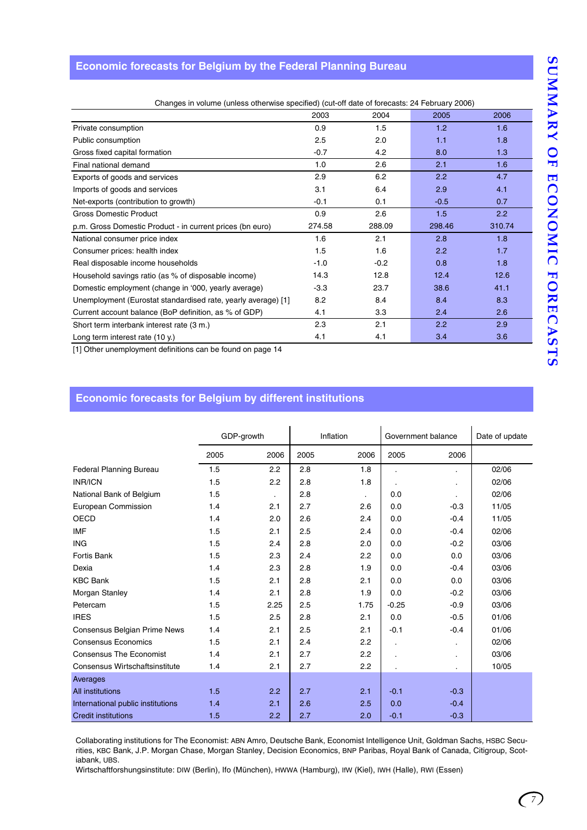#### **Economic forecasts for Belgium by the Federal Planning Bureau**

|                     | Changes in volume (unless otherwise specified) (cut-off date of forecasts: 24 February 2006) |      |               |      |                |  |  |  |  |  |  |  |  |
|---------------------|----------------------------------------------------------------------------------------------|------|---------------|------|----------------|--|--|--|--|--|--|--|--|
|                     |                                                                                              | 2003 | 2004          | 2005 | 2006           |  |  |  |  |  |  |  |  |
| Private consumption |                                                                                              | 0.9  |               |      | 1.6.           |  |  |  |  |  |  |  |  |
|                     |                                                                                              |      | $\sim$ $\sim$ |      | $\overline{1}$ |  |  |  |  |  |  |  |  |

| Public consumption                                            | 2.5    | 2.0    | 1.1    | 1.8    |
|---------------------------------------------------------------|--------|--------|--------|--------|
| Gross fixed capital formation                                 | $-0.7$ | 4.2    | 8.0    | 1.3    |
| Final national demand                                         | 1.0    | 2.6    | 2.1    | 1.6    |
| Exports of goods and services                                 | 2.9    | 6.2    | 2.2    | 4.7    |
| Imports of goods and services                                 | 3.1    | 6.4    | 2.9    | 4.1    |
| Net-exports (contribution to growth)                          | $-0.1$ | 0.1    | $-0.5$ | 0.7    |
| <b>Gross Domestic Product</b>                                 | 0.9    | 2.6    | 1.5    | 2.2    |
| p.m. Gross Domestic Product - in current prices (bn euro)     | 274.58 | 288.09 | 298.46 | 310.74 |
| National consumer price index                                 | 1.6    | 2.1    | 2.8    | 1.8    |
| Consumer prices: health index                                 | 1.5    | 1.6    | 2.2    | 1.7    |
| Real disposable income households                             | $-1.0$ | $-0.2$ | 0.8    | 1.8    |
| Household savings ratio (as % of disposable income)           | 14.3   | 12.8   | 12.4   | 12.6   |
| Domestic employment (change in '000, yearly average)          | $-3.3$ | 23.7   | 38.6   | 41.1   |
| Unemployment (Eurostat standardised rate, yearly average) [1] | 8.2    | 8.4    | 8.4    | 8.3    |
| Current account balance (BoP definition, as % of GDP)         | 4.1    | 3.3    | 2.4    | 2.6    |
| Short term interbank interest rate (3 m.)                     | 2.3    | 2.1    | 2.2    | 2.9    |
| Long term interest rate (10 y.)                               | 4.1    | 4.1    | 3.4    | 3.6    |

[1] Other unemployment definitions can be found on page 14

#### **Economic forecasts for Belgium by different institutions**

|                                       | GDP-growth |                |      | Inflation    | Government balance |           | Date of update |  |
|---------------------------------------|------------|----------------|------|--------------|--------------------|-----------|----------------|--|
|                                       | 2005       | 2006           | 2005 | 2006         | 2005               | 2006      |                |  |
| <b>Federal Planning Bureau</b>        | 1.5        | 2.2            | 2.8  | 1.8          |                    |           | 02/06          |  |
| <b>INR/ICN</b>                        | 1.5        | 2.2            | 2.8  | 1.8          |                    | $\cdot$   | 02/06          |  |
| National Bank of Belgium              | 1.5        | $\blacksquare$ | 2.8  | $\mathbf{r}$ | 0.0                | $\bullet$ | 02/06          |  |
| European Commission                   | 1.4        | 2.1            | 2.7  | 2.6          | 0.0                | $-0.3$    | 11/05          |  |
| <b>OECD</b>                           | 1.4        | 2.0            | 2.6  | 2.4          | 0.0                | $-0.4$    | 11/05          |  |
| <b>IMF</b>                            | 1.5        | 2.1            | 2.5  | 2.4          | 0.0                | $-0.4$    | 02/06          |  |
| <b>ING</b>                            | 1.5        | 2.4            | 2.8  | 2.0          | 0.0                | $-0.2$    | 03/06          |  |
| <b>Fortis Bank</b>                    | 1.5        | 2.3            | 2.4  | 2.2          | 0.0                | 0.0       | 03/06          |  |
| Dexia                                 | 1.4        | 2.3            | 2.8  | 1.9          | 0.0                | $-0.4$    | 03/06          |  |
| <b>KBC Bank</b>                       | 1.5        | 2.1            | 2.8  | 2.1          | 0.0                | 0.0       | 03/06          |  |
| Morgan Stanley                        | 1.4        | 2.1            | 2.8  | 1.9          | 0.0                | $-0.2$    | 03/06          |  |
| Petercam                              | 1.5        | 2.25           | 2.5  | 1.75         | $-0.25$            | $-0.9$    | 03/06          |  |
| <b>IRES</b>                           | 1.5        | 2.5            | 2.8  | 2.1          | 0.0                | $-0.5$    | 01/06          |  |
| Consensus Belgian Prime News          | 1.4        | 2.1            | 2.5  | 2.1          | $-0.1$             | $-0.4$    | 01/06          |  |
| <b>Consensus Economics</b>            | 1.5        | 2.1            | 2.4  | 2.2          | $\cdot$            | ٠         | 02/06          |  |
| <b>Consensus The Economist</b>        | 1.4        | 2.1            | 2.7  | 2.2          |                    |           | 03/06          |  |
| <b>Consensus Wirtschaftsinstitute</b> | 1.4        | 2.1            | 2.7  | 2.2          |                    | $\cdot$   | 10/05          |  |
| Averages                              |            |                |      |              |                    |           |                |  |
| All institutions                      | 1.5        | 2.2            | 2.7  | 2.1          | $-0.1$             | $-0.3$    |                |  |
| International public institutions     | 1.4        | 2.1            | 2.6  | 2.5          | 0.0                | $-0.4$    |                |  |
| <b>Credit institutions</b>            | 1.5        | 2.2            | 2.7  | 2.0          | $-0.1$             | $-0.3$    |                |  |

Collaborating institutions for The Economist: ABN Amro, Deutsche Bank, Economist Intelligence Unit, Goldman Sachs, HSBC Securities, KBC Bank, J.P. Morgan Chase, Morgan Stanley, Decision Economics, BNP Paribas, Royal Bank of Canada, Citigroup, Scotiabank, UBS.

Wirtschaftforshungsinstitute: DIW (Berlin), Ifo (München), HWWA (Hamburg), IfW (Kiel), IWH (Halle), RWI (Essen)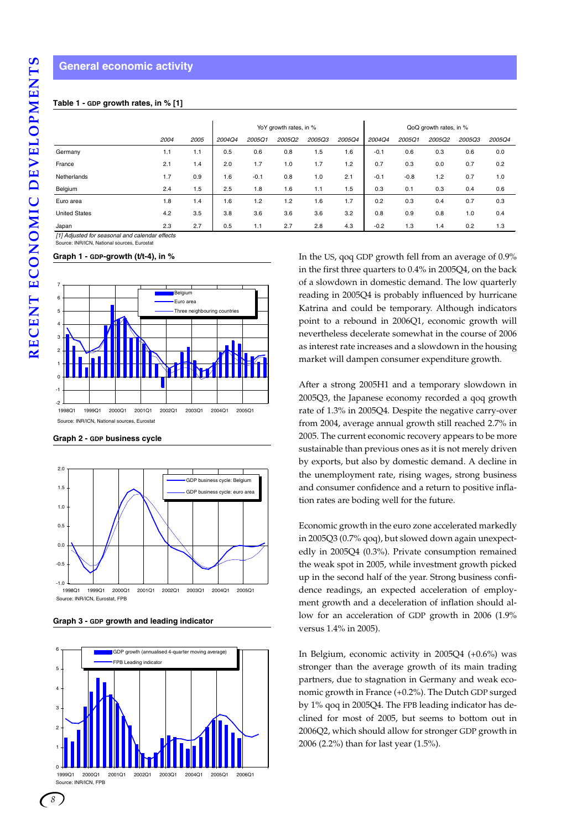#### **General economic activity**

#### **Table 1 - GDP growth rates, in % [1]**

|                      |      |      |        |        | YoY growth rates, in % |               |        | QoQ growth rates, in % |        |        |        |        |  |
|----------------------|------|------|--------|--------|------------------------|---------------|--------|------------------------|--------|--------|--------|--------|--|
|                      | 2004 | 2005 | 2004Q4 | 2005Q1 | 2005Q2                 | <b>2005Q3</b> | 2005Q4 | 2004Q4                 | 2005Q1 | 2005Q2 | 2005Q3 | 2005Q4 |  |
| Germany              | 1.1  | 1.1  | 0.5    | 0.6    | 0.8                    | 1.5           | 1.6    | $-0.1$                 | 0.6    | 0.3    | 0.6    | 0.0    |  |
| France               | 2.1  | 1.4  | 2.0    | 1.7    | 1.0                    | 1.7           | 1.2    | 0.7                    | 0.3    | 0.0    | 0.7    | 0.2    |  |
| Netherlands          | 1.7  | 0.9  | 1.6    | $-0.1$ | 0.8                    | 1.0           | 2.1    | $-0.1$                 | $-0.8$ | 1.2    | 0.7    | 1.0    |  |
| Belgium              | 2.4  | 1.5  | 2.5    | 1.8    | 1.6                    | 1.1           | 1.5    | 0.3                    | 0.1    | 0.3    | 0.4    | 0.6    |  |
| Euro area            | 1.8  | 1.4  | 1.6    | 1.2    | 1.2                    | 1.6           | 1.7    | 0.2                    | 0.3    | 0.4    | 0.7    | 0.3    |  |
| <b>United States</b> | 4.2  | 3.5  | 3.8    | 3.6    | 3.6                    | 3.6           | 3.2    | 0.8                    | 0.9    | 0.8    | 1.0    | 0.4    |  |
| Japan                | 2.3  | 2.7  | 0.5    | 1.1    | 2.7                    | 2.8           | 4.3    | $-0.2$                 | 1.3    | 1.4    | 0.2    | 1.3    |  |

*[1] Adjusted for seasonal and calendar effects* e: INR/ICN, National sources, Eurostat

#### **Graph 1 - GDP-growth (t/t-4), in %**



**Graph 2 - GDP business cycle** 







In the US, qoq GDP growth fell from an average of 0.9% in the first three quarters to 0.4% in 2005Q4, on the back of a slowdown in domestic demand. The low quarterly reading in 2005Q4 is probably influenced by hurricane Katrina and could be temporary. Although indicators point to a rebound in 2006Q1, economic growth will nevertheless decelerate somewhat in the course of 2006 as interest rate increases and a slowdown in the housing market will dampen consumer expenditure growth.

After a strong 2005H1 and a temporary slowdown in 2005Q3, the Japanese economy recorded a qoq growth rate of 1.3% in 2005Q4. Despite the negative carry-over from 2004, average annual growth still reached 2.7% in 2005. The current economic recovery appears to be more sustainable than previous ones as it is not merely driven by exports, but also by domestic demand. A decline in the unemployment rate, rising wages, strong business and consumer confidence and a return to positive inflation rates are boding well for the future.

Economic growth in the euro zone accelerated markedly in 2005Q3 (0.7% qoq), but slowed down again unexpectedly in 2005Q4 (0.3%). Private consumption remained the weak spot in 2005, while investment growth picked up in the second half of the year. Strong business confidence readings, an expected acceleration of employment growth and a deceleration of inflation should allow for an acceleration of GDP growth in 2006 (1.9% versus 1.4% in 2005).

In Belgium, economic activity in 2005Q4 (+0.6%) was stronger than the average growth of its main trading partners, due to stagnation in Germany and weak economic growth in France (+0.2%). The Dutch GDP surged by 1% qoq in 2005Q4. The FPB leading indicator has declined for most of 2005, but seems to bottom out in 2006Q2, which should allow for stronger GDP growth in 2006 (2.2%) than for last year (1.5%).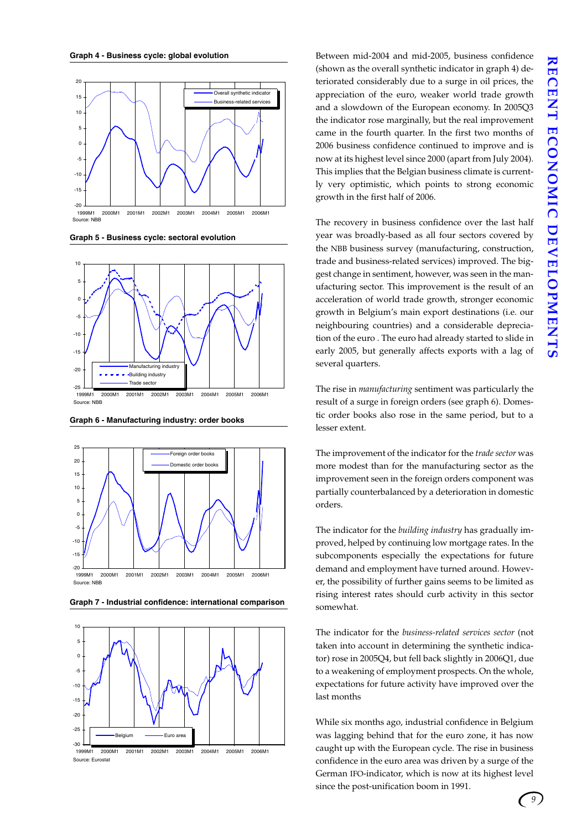

**Graph 5 - Business cycle: sectoral evolution**



**Graph 6 - Manufacturing industry: order books**



**Graph 7 - Industrial confidence: international comparison**



Between mid-2004 and mid-2005, business confidence (shown as the overall synthetic indicator in graph 4) deteriorated considerably due to a surge in oil prices, the appreciation of the euro, weaker world trade growth and a slowdown of the European economy. In 2005Q3 the indicator rose marginally, but the real improvement came in the fourth quarter. In the first two months of 2006 business confidence continued to improve and is now at its highest level since 2000 (apart from July 2004). This implies that the Belgian business climate is currently very optimistic, which points to strong economic growth in the first half of 2006.

The recovery in business confidence over the last half year was broadly-based as all four sectors covered by the NBB business survey (manufacturing, construction, trade and business-related services) improved. The biggest change in sentiment, however, was seen in the manufacturing sector. This improvement is the result of an acceleration of world trade growth, stronger economic growth in Belgium's main export destinations (i.e. our neighbouring countries) and a considerable depreciation of the euro . The euro had already started to slide in early 2005, but generally affects exports with a lag of several quarters.

The rise in *manufacturing* sentiment was particularly the result of a surge in foreign orders (see graph 6). Domestic order books also rose in the same period, but to a lesser extent.

The improvement of the indicator for the *trade sector* was more modest than for the manufacturing sector as the improvement seen in the foreign orders component was partially counterbalanced by a deterioration in domestic orders.

The indicator for the *building industry* has gradually improved, helped by continuing low mortgage rates. In the subcomponents especially the expectations for future demand and employment have turned around. However, the possibility of further gains seems to be limited as rising interest rates should curb activity in this sector somewhat.

The indicator for the *business-related services sector* (not taken into account in determining the synthetic indicator) rose in 2005Q4, but fell back slightly in 2006Q1, due to a weakening of employment prospects. On the whole, expectations for future activity have improved over the last months

While six months ago, industrial confidence in Belgium was lagging behind that for the euro zone, it has now caught up with the European cycle. The rise in business confidence in the euro area was driven by a surge of the German IFO-indicator, which is now at its highest level since the post-unification boom in 1991.

*9*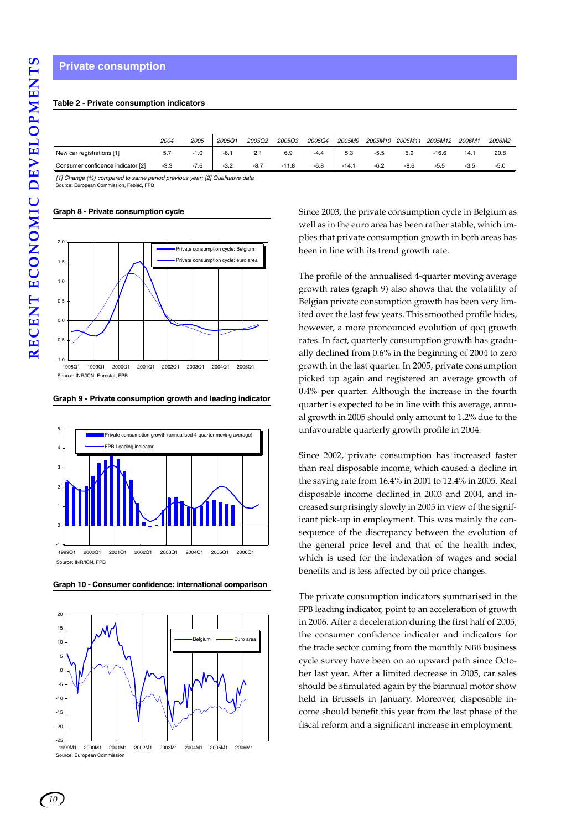#### **Table 2 - Private consumption indicators**

|                                   | 2004   | <i>2005</i> | 2005Q1 | 2005Q2 | 2005Q3  | 2005Q4 | 2005M9  | 2005M10 | 2005M1 | 2005M12 | 2006M1 | <i>2006M2</i> |
|-----------------------------------|--------|-------------|--------|--------|---------|--------|---------|---------|--------|---------|--------|---------------|
| New car registrations [1]         | 57     | $\cdot 1.0$ | $-6.1$ | 2.1    | 6.9     | $-4.4$ | 5.3     | $-5.5$  | 5.9    | $-16.6$ | 14.1   | 20.8          |
| Consumer confidence indicator [2] | $-3.3$ | $-7.6$      | $-3.2$ | $-8.7$ | $-11.8$ | $-6.8$ | $-14.1$ | $-6.2$  | $-8.6$ | $-5.5$  | $-3.5$ | $-5.0$        |

*[1] Change (%) compared to same period previous year; [2] Qualitative data* Source: European Commission, Febiac, FPB

**Graph 8 - Private consumption cycle**



**Graph 9 - Private consumption growth and leading indicator**



**Graph 10 - Consumer confidence: international comparison**



Since 2003, the private consumption cycle in Belgium as well as in the euro area has been rather stable, which implies that private consumption growth in both areas has been in line with its trend growth rate.

The profile of the annualised 4-quarter moving average growth rates (graph 9) also shows that the volatility of Belgian private consumption growth has been very limited over the last few years. This smoothed profile hides, however, a more pronounced evolution of qoq growth rates. In fact, quarterly consumption growth has gradually declined from 0.6% in the beginning of 2004 to zero growth in the last quarter. In 2005, private consumption picked up again and registered an average growth of 0.4% per quarter. Although the increase in the fourth quarter is expected to be in line with this average, annual growth in 2005 should only amount to 1.2% due to the unfavourable quarterly growth profile in 2004.

Since 2002, private consumption has increased faster than real disposable income, which caused a decline in the saving rate from 16.4% in 2001 to 12.4% in 2005. Real disposable income declined in 2003 and 2004, and increased surprisingly slowly in 2005 in view of the significant pick-up in employment. This was mainly the consequence of the discrepancy between the evolution of the general price level and that of the health index, which is used for the indexation of wages and social benefits and is less affected by oil price changes.

The private consumption indicators summarised in the FPB leading indicator, point to an acceleration of growth in 2006. After a deceleration during the first half of 2005, the consumer confidence indicator and indicators for the trade sector coming from the monthly NBB business cycle survey have been on an upward path since October last year. After a limited decrease in 2005, car sales should be stimulated again by the biannual motor show held in Brussels in January. Moreover, disposable income should benefit this year from the last phase of the fiscal reform and a significant increase in employment.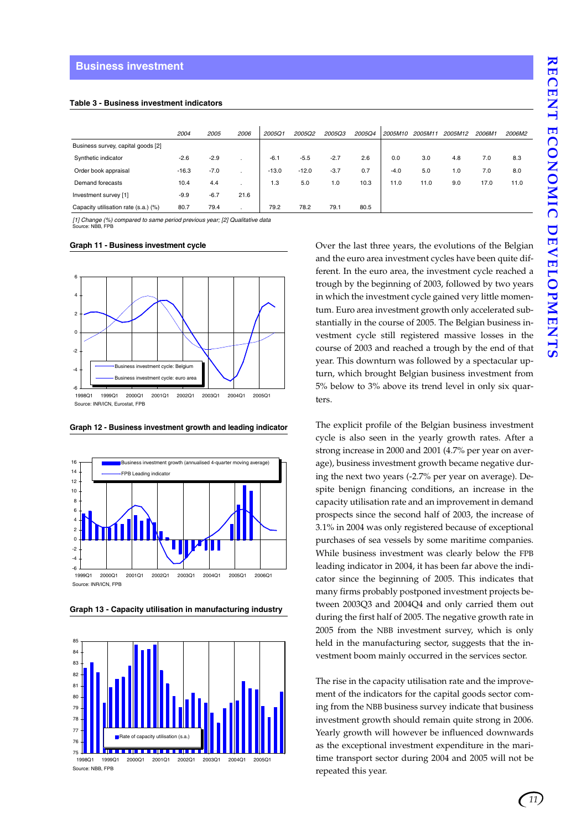#### **Table 3 - Business investment indicators**

|                                      | 2004    | 2005   | 2006 | 2005Q1  | 2005Q2  | <b>2005Q3</b> | <b>2005Q4</b> | 2005M10 | 2005M11 | 2005M12 | 2006M1 | 2006M2 |
|--------------------------------------|---------|--------|------|---------|---------|---------------|---------------|---------|---------|---------|--------|--------|
| Business survey, capital goods [2]   |         |        |      |         |         |               |               |         |         |         |        |        |
| Synthetic indicator                  | $-2.6$  | $-2.9$ |      | $-6.1$  | $-5.5$  | $-2.7$        | 2.6           | 0.0     | 3.0     | 4.8     | 7.0    | 8.3    |
| Order book appraisal                 | $-16.3$ | $-7.0$ |      | $-13.0$ | $-12.0$ | $-3.7$        | 0.7           | $-4.0$  | 5.0     | 1.0     | 7.0    | 8.0    |
| Demand forecasts                     | 10.4    | 4.4    |      | 1.3     | 5.0     | 1.0           | 10.3          | 11.0    | 11.0    | 9.0     | 17.0   | 11.0   |
| Investment survey [1]                | $-9.9$  | $-6.7$ | 21.6 |         |         |               |               |         |         |         |        |        |
| Capacity utilisation rate (s.a.) (%) | 80.7    | 79.4   |      | 79.2    | 78.2    | 79.1          | 80.5          |         |         |         |        |        |

*[1] Change (%) compared to same period previous year; [2] Qualitative data* Source: NBB, FPB

#### **Graph 11 - Business investment cycle**



**Graph 12 - Business investment growth and leading indicator**



**Graph 13 - Capacity utilisation in manufacturing industry**



Source: NBB, FPB

Over the last three years, the evolutions of the Belgian and the euro area investment cycles have been quite different. In the euro area, the investment cycle reached a trough by the beginning of 2003, followed by two years in which the investment cycle gained very little momentum. Euro area investment growth only accelerated substantially in the course of 2005. The Belgian business investment cycle still registered massive losses in the course of 2003 and reached a trough by the end of that year. This downturn was followed by a spectacular upturn, which brought Belgian business investment from 5% below to 3% above its trend level in only six quarters.

The explicit profile of the Belgian business investment cycle is also seen in the yearly growth rates. After a strong increase in 2000 and 2001 (4.7% per year on average), business investment growth became negative during the next two years (-2.7% per year on average). Despite benign financing conditions, an increase in the capacity utilisation rate and an improvement in demand prospects since the second half of 2003, the increase of 3.1% in 2004 was only registered because of exceptional purchases of sea vessels by some maritime companies. While business investment was clearly below the FPB leading indicator in 2004, it has been far above the indicator since the beginning of 2005. This indicates that many firms probably postponed investment projects between 2003Q3 and 2004Q4 and only carried them out during the first half of 2005. The negative growth rate in 2005 from the NBB investment survey, which is only held in the manufacturing sector, suggests that the investment boom mainly occurred in the services sector.

The rise in the capacity utilisation rate and the improvement of the indicators for the capital goods sector coming from the NBB business survey indicate that business investment growth should remain quite strong in 2006. Yearly growth will however be influenced downwards as the exceptional investment expenditure in the maritime transport sector during 2004 and 2005 will not be repeated this year.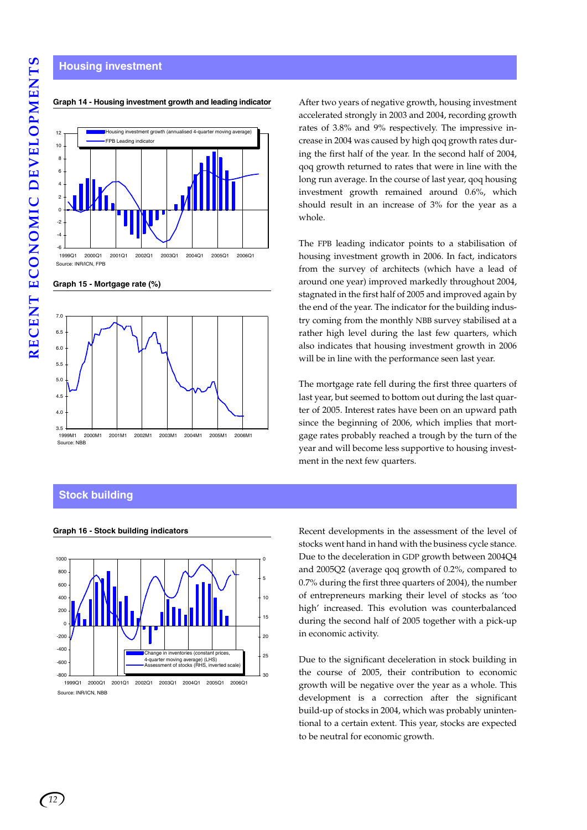#### **Housing investment**



**Graph 14 - Housing investment growth and leading indicator**

**Graph 15 - Mortgage rate (%)**



#### **Stock building**



Source: INR/ICN, NBE

After two years of negative growth, housing investment accelerated strongly in 2003 and 2004, recording growth rates of 3.8% and 9% respectively. The impressive increase in 2004 was caused by high qoq growth rates during the first half of the year. In the second half of 2004, qoq growth returned to rates that were in line with the long run average. In the course of last year, qoq housing investment growth remained around 0.6%, which should result in an increase of 3% for the year as a whole.

The FPB leading indicator points to a stabilisation of housing investment growth in 2006. In fact, indicators from the survey of architects (which have a lead of around one year) improved markedly throughout 2004, stagnated in the first half of 2005 and improved again by the end of the year. The indicator for the building industry coming from the monthly NBB survey stabilised at a rather high level during the last few quarters, which also indicates that housing investment growth in 2006 will be in line with the performance seen last year.

The mortgage rate fell during the first three quarters of last year, but seemed to bottom out during the last quarter of 2005. Interest rates have been on an upward path since the beginning of 2006, which implies that mortgage rates probably reached a trough by the turn of the year and will become less supportive to housing investment in the next few quarters.

**Graph 16 - Stock building indicators** Recent developments in the assessment of the level of stocks went hand in hand with the business cycle stance. Due to the deceleration in GDP growth between 2004Q4 and 2005Q2 (average qoq growth of 0.2%, compared to 0.7% during the first three quarters of 2004), the number of entrepreneurs marking their level of stocks as 'too high' increased. This evolution was counterbalanced during the second half of 2005 together with a pick-up in economic activity.

> Due to the significant deceleration in stock building in the course of 2005, their contribution to economic growth will be negative over the year as a whole. This development is a correction after the significant build-up of stocks in 2004, which was probably unintentional to a certain extent. This year, stocks are expected to be neutral for economic growth.

*12*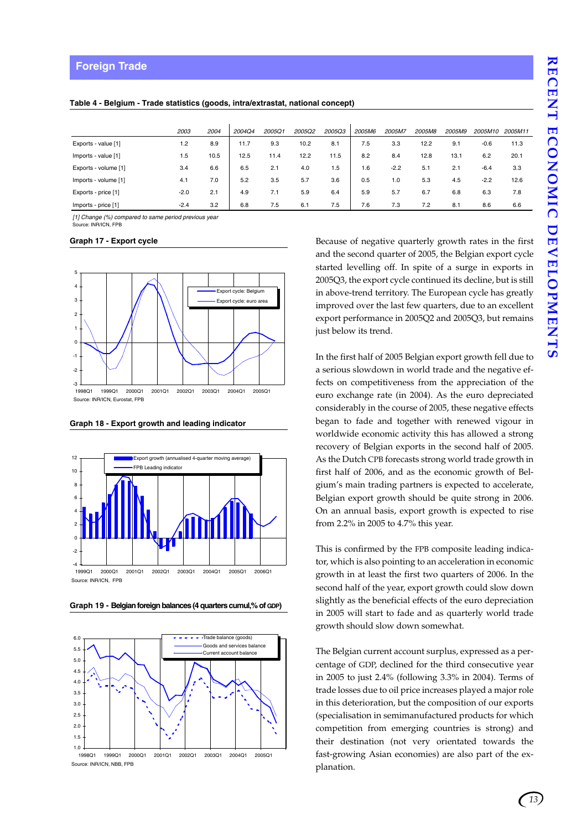|                      | 2003   | 2004 | 2004Q4 | 2005Q1 | 2005Q2 | 2005Q3 | 2005M6 | 2005M7 | 2005M8 | 2005M9 | 2005M10 | 2005M11 |
|----------------------|--------|------|--------|--------|--------|--------|--------|--------|--------|--------|---------|---------|
| Exports - value [1]  | 1.2    | 8.9  | 11.7   | 9.3    | 10.2   | 8.1    | 7.5    | 3.3    | 12.2   | 9.1    | $-0.6$  | 11.3    |
| Imports - value [1]  | 1.5    | 10.5 | 12.5   | 11.4   | 12.2   | 11.5   | 8.2    | 8.4    | 12.8   | 13.1   | 6.2     | 20.1    |
| Exports - volume [1] | 3.4    | 6.6  | 6.5    | 2.1    | 4.0    | 1.5    | 1.6    | $-2.2$ | 5.1    | 2.1    | $-6.4$  | 3.3     |
| Imports - volume [1] | 4.1    | 7.0  | 5.2    | 3.5    | 5.7    | 3.6    | 0.5    | 1.0    | 5.3    | 4.5    | $-2.2$  | 12.6    |
| Exports - price [1]  | $-2.0$ | 2.1  | 4.9    | 7.1    | 5.9    | 6.4    | 5.9    | 5.7    | 6.7    | 6.8    | 6.3     | 7.8     |
| Imports - price [1]  | $-2.4$ | 3.2  | 6.8    | 7.5    | 6.1    | 7.5    | 7.6    | 7.3    | 7.2    | 8.1    | 8.6     | 6.6     |

**Table 4 - Belgium - Trade statistics (goods, intra/extrastat, national concept)**

*[1] Change (%) compared to same period previous year* Source: INR/ICN, FPB

#### **Graph 17 - Export cycle**



**Graph 18 - Export growth and leading indicator**



**Graph 19 - Belgian foreign balances (4 quarters cumul,% of GDP)**



Source: **INR/ICN, NBB, FPB** 1998Q1 1999Q1 2000Q1 2001Q1 2002Q1 2003Q1 2004Q1 2005Q1

Because of negative quarterly growth rates in the first and the second quarter of 2005, the Belgian export cycle started levelling off. In spite of a surge in exports in 2005Q3, the export cycle continued its decline, but is still in above-trend territory. The European cycle has greatly improved over the last few quarters, due to an excellent export performance in 2005Q2 and 2005Q3, but remains just below its trend.

In the first half of 2005 Belgian export growth fell due to a serious slowdown in world trade and the negative effects on competitiveness from the appreciation of the euro exchange rate (in 2004). As the euro depreciated considerably in the course of 2005, these negative effects began to fade and together with renewed vigour in worldwide economic activity this has allowed a strong recovery of Belgian exports in the second half of 2005. As the Dutch CPB forecasts strong world trade growth in first half of 2006, and as the economic growth of Belgium's main trading partners is expected to accelerate, Belgian export growth should be quite strong in 2006. On an annual basis, export growth is expected to rise from 2.2% in 2005 to 4.7% this year.

This is confirmed by the FPB composite leading indicator, which is also pointing to an acceleration in economic growth in at least the first two quarters of 2006. In the second half of the year, export growth could slow down slightly as the beneficial effects of the euro depreciation in 2005 will start to fade and as quarterly world trade growth should slow down somewhat.

The Belgian current account surplus, expressed as a percentage of GDP, declined for the third consecutive year in 2005 to just 2.4% (following 3.3% in 2004). Terms of trade losses due to oil price increases played a major role in this deterioration, but the composition of our exports (specialisation in semimanufactured products for which competition from emerging countries is strong) and their destination (not very orientated towards the fast-growing Asian economies) are also part of the explanation.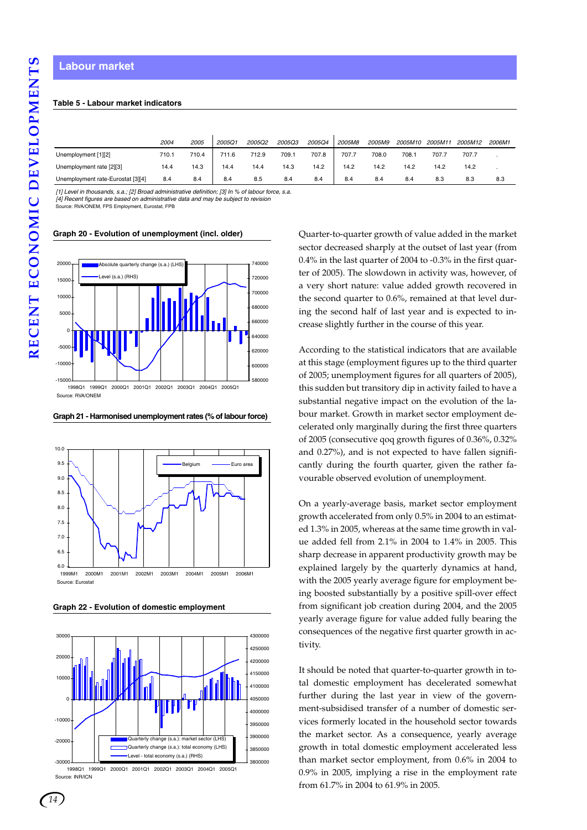#### **Labour market**

#### **Table 5 - Labour market indicators**

|                                   | 2004  | 2005  | 2005Q1 | 2005Q2 | <b>2005Q3</b> | 2005Q4 | 2005M8 | 2005M9 | <i>2005M10</i> | 2005M11 | 2005M12 | 2006M1 |  |
|-----------------------------------|-------|-------|--------|--------|---------------|--------|--------|--------|----------------|---------|---------|--------|--|
| Unemployment [1][2]               | 710.1 | 710.4 | 711.6  | 712.9  | 709.1         | 707.8  | 707.7  | 708.0  | 708.1          | 707.7   | 707.7   |        |  |
| Unemployment rate [2][3]          | 14.4  | 14.3  | 14.4   | 14.4   | 14.3          | 14.2   | 14.2   | 14.2   | 14.2           | 14.2    | 14.2    |        |  |
| Unemployment rate-Eurostat [3][4] | 8.4   | 8.4   | 8.4    | 8.5    | 8.4           | 8.4    | 8.4    | 8.4    | 8.4            | 8.3     | 8.3     | 8.3    |  |

*[1] Level in thousands, s.a.; [2] Broad administrative definition; [3] In % of labour force, s.a. [4] Recent figures are based on administrative data and may be subject to revision*

Source: RVA/ONEM, FPS Employment, Eurostat, FPB



**Graph 20 - Evolution of unemployment (incl. older)**

#### **Graph 21 - Harmonised unemployment rates (% of labour force)**



**Graph 22 - Evolution of domestic employment**



Source: INR/ICN

Quarter-to-quarter growth of value added in the market sector decreased sharply at the outset of last year (from 0.4% in the last quarter of 2004 to -0.3% in the first quarter of 2005). The slowdown in activity was, however, of a very short nature: value added growth recovered in the second quarter to 0.6%, remained at that level during the second half of last year and is expected to increase slightly further in the course of this year.

According to the statistical indicators that are available at this stage (employment figures up to the third quarter of 2005; unemployment figures for all quarters of 2005), this sudden but transitory dip in activity failed to have a substantial negative impact on the evolution of the labour market. Growth in market sector employment decelerated only marginally during the first three quarters of 2005 (consecutive qoq growth figures of 0.36%, 0.32% and 0.27%), and is not expected to have fallen significantly during the fourth quarter, given the rather favourable observed evolution of unemployment.

On a yearly-average basis, market sector employment growth accelerated from only 0.5% in 2004 to an estimated 1.3% in 2005, whereas at the same time growth in value added fell from 2.1% in 2004 to 1.4% in 2005. This sharp decrease in apparent productivity growth may be explained largely by the quarterly dynamics at hand, with the 2005 yearly average figure for employment being boosted substantially by a positive spill-over effect from significant job creation during 2004, and the 2005 yearly average figure for value added fully bearing the consequences of the negative first quarter growth in activity.

It should be noted that quarter-to-quarter growth in total domestic employment has decelerated somewhat further during the last year in view of the government-subsidised transfer of a number of domestic services formerly located in the household sector towards the market sector. As a consequence, yearly average growth in total domestic employment accelerated less than market sector employment, from 0.6% in 2004 to 0.9% in 2005, implying a rise in the employment rate from 61.7% in 2004 to 61.9% in 2005.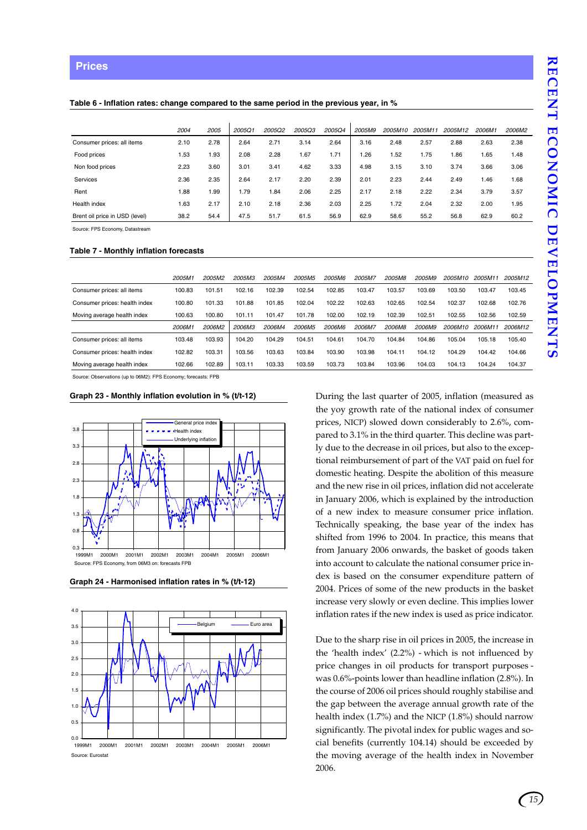#### **Table 6 - Inflation rates: change compared to the same period in the previous year, in %**

|                                | 2004 | 2005 | 2005Q1 | 2005Q2 | 200503 | 2005Q4 | 2005M9 | 2005M10 | 2005M11 | 2005M12 | 2006M1 | 2006M2 |
|--------------------------------|------|------|--------|--------|--------|--------|--------|---------|---------|---------|--------|--------|
| Consumer prices: all items     | 2.10 | 2.78 | 2.64   | 2.71   | 3.14   | 2.64   | 3.16   | 2.48    | 2.57    | 2.88    | 2.63   | 2.38   |
| Food prices                    | 1.53 | 1.93 | 2.08   | 2.28   | i.67   | 1.71   | 1.26   | 1.52    | 1.75    | 1.86    | 1.65   | 1.48   |
| Non food prices                | 2.23 | 3.60 | 3.01   | 3.41   | 4.62   | 3.33   | 4.98   | 3.15    | 3.10    | 3.74    | 3.66   | 3.06   |
| Services                       | 2.36 | 2.35 | 2.64   | 2.17   | 2.20   | 2.39   | 2.01   | 2.23    | 2.44    | 2.49    | 1.46   | 1.68   |
| Rent                           | .88  | .99  | 1.79   | .84    | 2.06   | 2.25   | 2.17   | 2.18    | 2.22    | 2.34    | 3.79   | 3.57   |
| Health index                   | 1.63 | 2.17 | 2.10   | 2.18   | 2.36   | 2.03   | 2.25   | 1.72    | 2.04    | 2.32    | 2.00   | 1.95   |
| Brent oil price in USD (level) | 38.2 | 54.4 | 47.5   | 51.7   | 61.5   | 56.9   | 62.9   | 58.6    | 55.2    | 56.8    | 62.9   | 60.2   |

Source: FPS Economy, Datastream

#### **Table 7 - Monthly inflation forecasts**

|                               | 2005M1 | 2005M2 | 2005M3 | 2005M4 | 2005M <sub>5</sub> | 2005M6 | 2005M7 | 2005M8 | 2005M9 | 2005M10        | 2005M11 | 2005M12 |
|-------------------------------|--------|--------|--------|--------|--------------------|--------|--------|--------|--------|----------------|---------|---------|
| Consumer prices: all items    | 100.83 | 101.51 | 102.16 | 102.39 | 102.54             | 102.85 | 103.47 | 103.57 | 103.69 | 103.50         | 103.47  | 103.45  |
| Consumer prices: health index | 100.80 | 101.33 | 101.88 | 101.85 | 102.04             | 102.22 | 102.63 | 102.65 | 102.54 | 102.37         | 102.68  | 102.76  |
| Moving average health index   | 100.63 | 100.80 | 101.11 | 101.47 | 101.78             | 102.00 | 102.19 | 102.39 | 102.51 | 102.55         | 102.56  | 102.59  |
|                               | 2006M1 | 2006M2 | 2006M3 | 2006M4 | 2006M <sub>5</sub> | 2006M6 | 2006M7 | 2006M8 | 2006M9 | <i>2006M10</i> | 2006M11 | 2006M12 |
| Consumer prices: all items    | 103.48 | 103.93 | 104.20 | 104.29 | 104.51             | 104.61 | 104.70 | 104.84 | 104.86 | 105.04         | 105.18  | 105.40  |
| Consumer prices: health index | 102.82 | 103.31 | 103.56 | 103.63 | 103.84             | 103.90 | 103.98 | 104.11 | 104.12 | 104.29         | 104.42  | 104.66  |
| Moving average health index   | 102.66 | 102.89 | 103.11 | 103.33 | 103.59             | 103.73 | 103.84 | 103.96 | 104.03 | 104.13         | 104.24  | 104.37  |

Source: Observations (up to 06M2): FPS Economy; forecasts: FPB

#### **Graph 23 - Monthly inflation evolution in % (t/t-12)**







During the last quarter of 2005, inflation (measured as the yoy growth rate of the national index of consumer prices, NICP) slowed down considerably to 2.6%, compared to 3.1% in the third quarter. This decline was partly due to the decrease in oil prices, but also to the exceptional reimbursement of part of the VAT paid on fuel for domestic heating. Despite the abolition of this measure and the new rise in oil prices, inflation did not accelerate in January 2006, which is explained by the introduction of a new index to measure consumer price inflation. Technically speaking, the base year of the index has shifted from 1996 to 2004. In practice, this means that from January 2006 onwards, the basket of goods taken into account to calculate the national consumer price index is based on the consumer expenditure pattern of 2004. Prices of some of the new products in the basket increase very slowly or even decline. This implies lower inflation rates if the new index is used as price indicator.

Due to the sharp rise in oil prices in 2005, the increase in the 'health index' (2.2%) - which is not influenced by price changes in oil products for transport purposes was 0.6%-points lower than headline inflation (2.8%). In the course of 2006 oil prices should roughly stabilise and the gap between the average annual growth rate of the health index (1.7%) and the NICP (1.8%) should narrow significantly. The pivotal index for public wages and social benefits (currently 104.14) should be exceeded by the moving average of the health index in November 2006.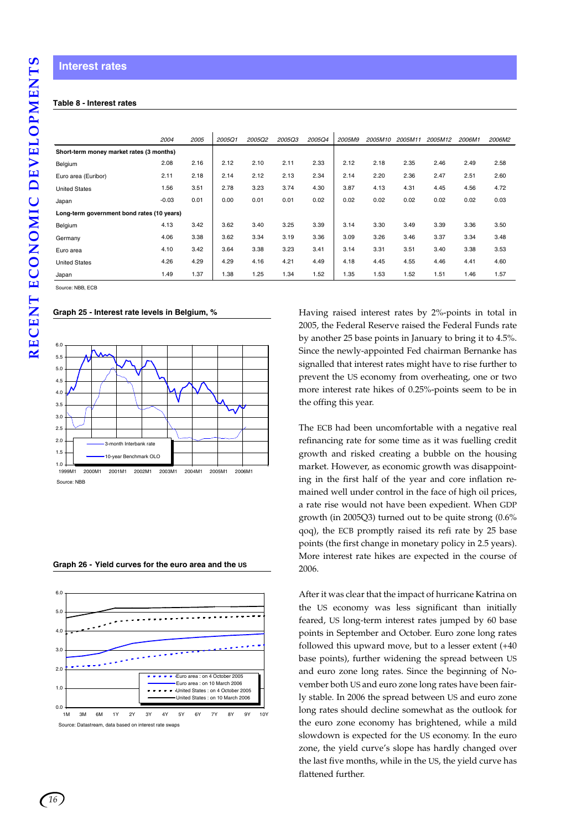#### **Table 8 - Interest rates**

|                                            | 2004    | 2005 | 2005Q1 | 2005Q2 | <b>2005Q3</b> | <b>2005Q4</b> | 2005M9 | 2005M10 | 2005M11 | 2005M12 | 2006M1 | 2006M2 |
|--------------------------------------------|---------|------|--------|--------|---------------|---------------|--------|---------|---------|---------|--------|--------|
| Short-term money market rates (3 months)   |         |      |        |        |               |               |        |         |         |         |        |        |
| Belgium                                    | 2.08    | 2.16 | 2.12   | 2.10   | 2.11          | 2.33          | 2.12   | 2.18    | 2.35    | 2.46    | 2.49   | 2.58   |
| Euro area (Euribor)                        | 2.11    | 2.18 | 2.14   | 2.12   | 2.13          | 2.34          | 2.14   | 2.20    | 2.36    | 2.47    | 2.51   | 2.60   |
| <b>United States</b>                       | 1.56    | 3.51 | 2.78   | 3.23   | 3.74          | 4.30          | 3.87   | 4.13    | 4.31    | 4.45    | 4.56   | 4.72   |
| Japan                                      | $-0.03$ | 0.01 | 0.00   | 0.01   | 0.01          | 0.02          | 0.02   | 0.02    | 0.02    | 0.02    | 0.02   | 0.03   |
| Long-term government bond rates (10 years) |         |      |        |        |               |               |        |         |         |         |        |        |
| Belgium                                    | 4.13    | 3.42 | 3.62   | 3.40   | 3.25          | 3.39          | 3.14   | 3.30    | 3.49    | 3.39    | 3.36   | 3.50   |
| Germany                                    | 4.06    | 3.38 | 3.62   | 3.34   | 3.19          | 3.36          | 3.09   | 3.26    | 3.46    | 3.37    | 3.34   | 3.48   |
| Euro area                                  | 4.10    | 3.42 | 3.64   | 3.38   | 3.23          | 3.41          | 3.14   | 3.31    | 3.51    | 3.40    | 3.38   | 3.53   |
| <b>United States</b>                       | 4.26    | 4.29 | 4.29   | 4.16   | 4.21          | 4.49          | 4.18   | 4.45    | 4.55    | 4.46    | 4.41   | 4.60   |
| Japan                                      | 1.49    | 1.37 | 1.38   | 1.25   | 1.34          | 1.52          | 1.35   | 1.53    | 1.52    | 1.51    | 1.46   | 1.57   |

Source: NBB, ECB

**Graph 25 - Interest rate levels in Belgium, %**



**Graph 26 - Yield curves for the euro area and the US**



Having raised interest rates by 2%-points in total in 2005, the Federal Reserve raised the Federal Funds rate by another 25 base points in January to bring it to 4.5%. Since the newly-appointed Fed chairman Bernanke has signalled that interest rates might have to rise further to prevent the US economy from overheating, one or two more interest rate hikes of 0.25%-points seem to be in the offing this year.

The ECB had been uncomfortable with a negative real refinancing rate for some time as it was fuelling credit growth and risked creating a bubble on the housing market. However, as economic growth was disappointing in the first half of the year and core inflation remained well under control in the face of high oil prices, a rate rise would not have been expedient. When GDP growth (in 2005Q3) turned out to be quite strong (0.6% qoq), the ECB promptly raised its refi rate by 25 base points (the first change in monetary policy in 2.5 years). More interest rate hikes are expected in the course of 2006.

After it was clear that the impact of hurricane Katrina on the US economy was less significant than initially feared, US long-term interest rates jumped by 60 base points in September and October. Euro zone long rates followed this upward move, but to a lesser extent (+40 base points), further widening the spread between US and euro zone long rates. Since the beginning of November both US and euro zone long rates have been fairly stable. In 2006 the spread between US and euro zone long rates should decline somewhat as the outlook for the euro zone economy has brightened, while a mild slowdown is expected for the US economy. In the euro zone, the yield curve's slope has hardly changed over the last five months, while in the US, the yield curve has flattened further.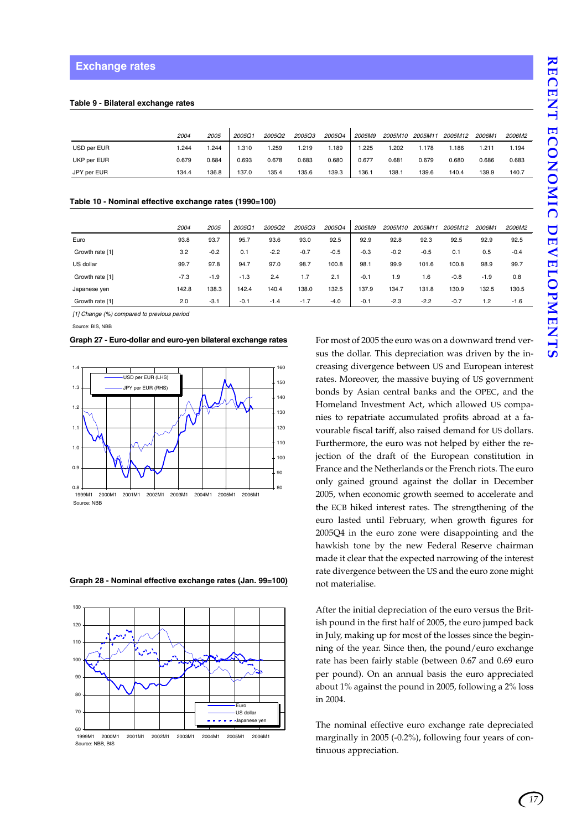#### **Table 9 - Bilateral exchange rates**

|             | 2004  | <i>2005</i> | 2005Q1 | 2005Q2 | <b>2005Q3</b> | 2005Q4 | 2005M9 | 2005M10 | 2005M11 | 2005M12 | 2006M1 | 2006M2 |
|-------------|-------|-------------|--------|--------|---------------|--------|--------|---------|---------|---------|--------|--------|
| USD per EUR | .244  | .244        | .310   | .259   | 1.219         | 1.189  | .225   | .202    | 1.178   | 1.186   | 1.211  | 1.194  |
| UKP per EUR | 0.679 | 0.684       | 0.693  | 0.678  | 0.683         | 0.680  | 0.677  | 0.681   | 0.679   | 0.680   | 0.686  | 0.683  |
| JPY per EUR | 134.4 | 136.8       | 137.0  | 135.4  | 135.6         | 139.3  | 136.1  | 138.1   | 139.6   | 140.4   | 139.9  | 140.7  |

#### **Table 10 - Nominal effective exchange rates (1990=100)**

|                 | 2004   | 2005   | 2005Q1 | 2005Q2 | 2005Q3 | 2005Q4 | 2005M9 | 2005M10 | 2005M11 | 2005M12 | 2006M1 | 2006M2 |
|-----------------|--------|--------|--------|--------|--------|--------|--------|---------|---------|---------|--------|--------|
| Euro            | 93.8   | 93.7   | 95.7   | 93.6   | 93.0   | 92.5   | 92.9   | 92.8    | 92.3    | 92.5    | 92.9   | 92.5   |
| Growth rate [1] | 3.2    | $-0.2$ | 0.1    | $-2.2$ | $-0.7$ | $-0.5$ | $-0.3$ | $-0.2$  | $-0.5$  | 0.1     | 0.5    | $-0.4$ |
| US dollar       | 99.7   | 97.8   | 94.7   | 97.0   | 98.7   | 100.8  | 98.1   | 99.9    | 101.6   | 100.8   | 98.9   | 99.7   |
| Growth rate [1] | $-7.3$ | $-1.9$ | $-1.3$ | 2.4    | 1.7    | 2.1    | $-0.1$ | 1.9     | 1.6     | $-0.8$  | $-1.9$ | 0.8    |
| Japanese yen    | 142.8  | 138.3  | 142.4  | 140.4  | 138.0  | 132.5  | 137.9  | 134.7   | 131.8   | 130.9   | 132.5  | 130.5  |
| Growth rate [1] | 2.0    | $-3.1$ | $-0.1$ | $-1.4$ | $-1.7$ | $-4.0$ | $-0.1$ | $-2.3$  | $-2.2$  | $-0.7$  | 1.2    | $-1.6$ |

*[1] Change (%) compared to previous period*

Source: BIS, NBB

#### **Graph 27 - Euro-dollar and euro-yen bilateral exchange rates**



**Graph 28 - Nominal effective exchange rates (Jan. 99=100)**



Source: NBB, BIS

For most of 2005 the euro was on a downward trend versus the dollar. This depreciation was driven by the increasing divergence between US and European interest rates. Moreover, the massive buying of US government bonds by Asian central banks and the OPEC, and the Homeland Investment Act, which allowed US companies to repatriate accumulated profits abroad at a favourable fiscal tariff, also raised demand for US dollars. Furthermore, the euro was not helped by either the rejection of the draft of the European constitution in France and the Netherlands or the French riots. The euro only gained ground against the dollar in December 2005, when economic growth seemed to accelerate and the ECB hiked interest rates. The strengthening of the euro lasted until February, when growth figures for 2005Q4 in the euro zone were disappointing and the hawkish tone by the new Federal Reserve chairman made it clear that the expected narrowing of the interest rate divergence between the US and the euro zone might not materialise.

After the initial depreciation of the euro versus the British pound in the first half of 2005, the euro jumped back in July, making up for most of the losses since the beginning of the year. Since then, the pound/euro exchange rate has been fairly stable (between 0.67 and 0.69 euro per pound). On an annual basis the euro appreciated about 1% against the pound in 2005, following a 2% loss in 2004.

The nominal effective euro exchange rate depreciated marginally in 2005 (-0.2%), following four years of continuous appreciation.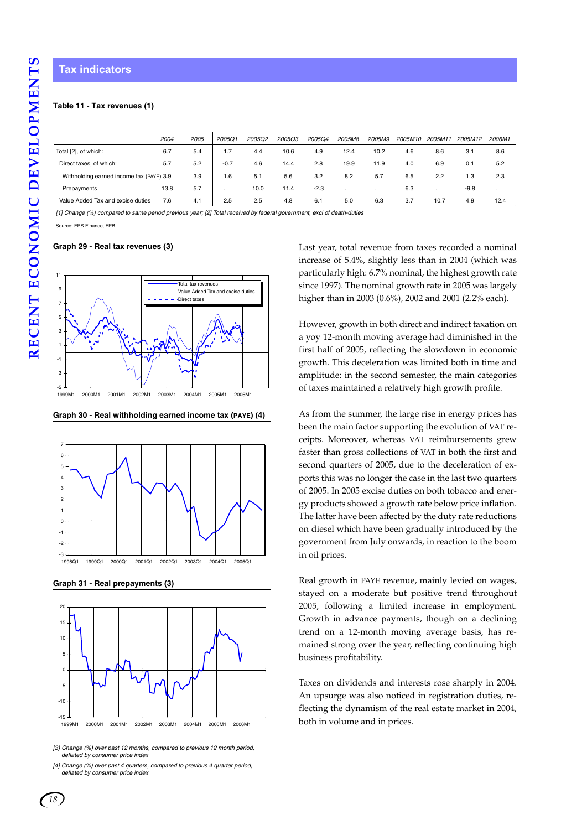#### **Table 11 - Tax revenues (1)**

|                                          | 2004 | 2005 | 2005Q1 | 2005Q2 | 2005Q3 | <b>2005Q4</b> | 2005M8 | 2005M9 | 2005M10 | 2005M11 | 2005M12 | 2006M1 |  |
|------------------------------------------|------|------|--------|--------|--------|---------------|--------|--------|---------|---------|---------|--------|--|
| Total [2], of which:                     | 6.7  | 5.4  | 1.7    | 4.4    | 10.6   | 4.9           | 12.4   | 10.2   | 4.6     | 8.6     | 3.1     | 8.6    |  |
| Direct taxes, of which:                  | 5.7  | 5.2  | $-0.7$ | 4.6    | 14.4   | 2.8           | 19.9   | 11.9   | 4.0     | 6.9     | 0.1     | 5.2    |  |
| Withholding earned income tax (PAYE) 3.9 |      | 3.9  | 1.6    | 5.1    | 5.6    | 3.2           | 8.2    | 5.7    | 6.5     | 2.2     | 1.3     | 2.3    |  |
| Prepayments                              | 13.8 | 5.7  |        | 10.0   | 11.4   | $-2.3$        |        |        | 6.3     |         | $-9.8$  |        |  |
| Value Added Tax and excise duties        | 7.6  | 4.1  | 2.5    | 2.5    | 4.8    | 6.1           | 5.0    | 6.3    | 3.7     | 10.7    | 4.9     | 12.4   |  |

*[1] Change (%) compared to same period previous year; [2] Total received by federal government, excl of death-duties*

Source: FPS Finance, FPB

#### **Graph 29 - Real tax revenues (3)**



**Graph 30 - Real withholding earned income tax (PAYE) (4)**



**Graph 31 - Real prepayments (3)**



*[3) Change (%) over past 12 months, compared to previous 12 month period, deflated by consumer price index*

*18*

Last year, total revenue from taxes recorded a nominal increase of 5.4%, slightly less than in 2004 (which was particularly high: 6.7% nominal, the highest growth rate since 1997). The nominal growth rate in 2005 was largely higher than in 2003 (0.6%), 2002 and 2001 (2.2% each).

However, growth in both direct and indirect taxation on a yoy 12-month moving average had diminished in the first half of 2005, reflecting the slowdown in economic growth. This deceleration was limited both in time and amplitude: in the second semester, the main categories of taxes maintained a relatively high growth profile.

As from the summer, the large rise in energy prices has been the main factor supporting the evolution of VAT receipts. Moreover, whereas VAT reimbursements grew faster than gross collections of VAT in both the first and second quarters of 2005, due to the deceleration of exports this was no longer the case in the last two quarters of 2005. In 2005 excise duties on both tobacco and energy products showed a growth rate below price inflation. The latter have been affected by the duty rate reductions on diesel which have been gradually introduced by the government from July onwards, in reaction to the boom in oil prices.

Real growth in PAYE revenue, mainly levied on wages, stayed on a moderate but positive trend throughout 2005, following a limited increase in employment. Growth in advance payments, though on a declining trend on a 12-month moving average basis, has remained strong over the year, reflecting continuing high business profitability.

Taxes on dividends and interests rose sharply in 2004. An upsurge was also noticed in registration duties, reflecting the dynamism of the real estate market in 2004, both in volume and in prices.

*<sup>[4]</sup> Change (%) over past 4 quarters, compared to previous 4 quarter period, deflated by consumer price index*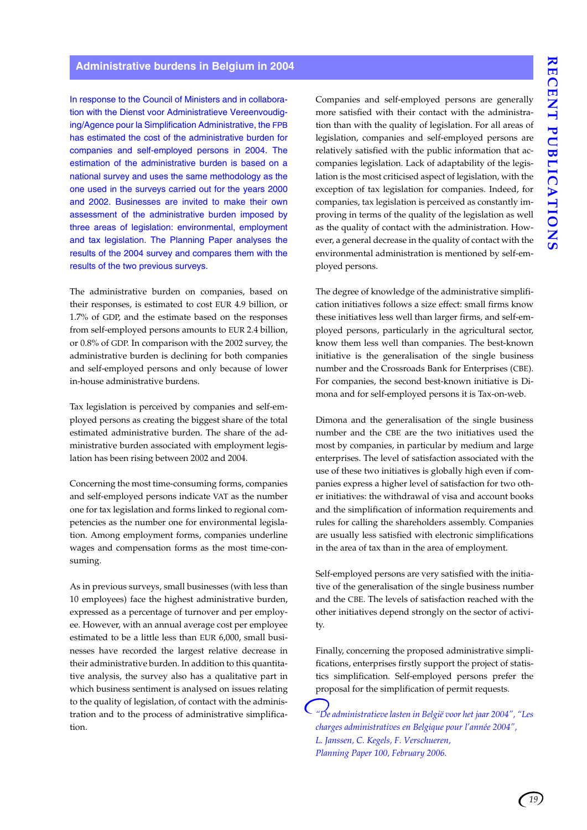#### **Administrative burdens in Belgium in 2004**

In response to the Council of Ministers and in collaboration with the Dienst voor Administratieve Vereenvoudiging/Agence pour la Simplification Administrative, the FPB has estimated the cost of the administrative burden for companies and self-employed persons in 2004. The estimation of the administrative burden is based on a national survey and uses the same methodology as the one used in the surveys carried out for the years 2000 and 2002. Businesses are invited to make their own assessment of the administrative burden imposed by three areas of legislation: environmental, employment and tax legislation. The Planning Paper analyses the results of the 2004 survey and compares them with the results of the two previous surveys.

The administrative burden on companies, based on their responses, is estimated to cost EUR 4.9 billion, or 1.7% of GDP, and the estimate based on the responses from self-employed persons amounts to EUR 2.4 billion, or 0.8% of GDP. In comparison with the 2002 survey, the administrative burden is declining for both companies and self-employed persons and only because of lower in-house administrative burdens.

Tax legislation is perceived by companies and self-employed persons as creating the biggest share of the total estimated administrative burden. The share of the administrative burden associated with employment legislation has been rising between 2002 and 2004.

Concerning the most time-consuming forms, companies and self-employed persons indicate VAT as the number one for tax legislation and forms linked to regional competencies as the number one for environmental legislation. Among employment forms, companies underline wages and compensation forms as the most time-consuming.

As in previous surveys, small businesses (with less than 10 employees) face the highest administrative burden, expressed as a percentage of turnover and per employee. However, with an annual average cost per employee estimated to be a little less than EUR 6,000, small businesses have recorded the largest relative decrease in their administrative burden. In addition to this quantitative analysis, the survey also has a qualitative part in which business sentiment is analysed on issues relating to the quality of legislation, of contact with the administration and to the process of administrative simplification.

Companies and self-employed persons are generally more satisfied with their contact with the administration than with the quality of legislation. For all areas of legislation, companies and self-employed persons are relatively satisfied with the public information that accompanies legislation. Lack of adaptability of the legislation is the most criticised aspect of legislation, with the exception of tax legislation for companies. Indeed, for companies, tax legislation is perceived as constantly improving in terms of the quality of the legislation as well as the quality of contact with the administration. However, a general decrease in the quality of contact with the environmental administration is mentioned by self-employed persons.

The degree of knowledge of the administrative simplification initiatives follows a size effect: small firms know these initiatives less well than larger firms, and self-employed persons, particularly in the agricultural sector, know them less well than companies. The best-known initiative is the generalisation of the single business number and the Crossroads Bank for Enterprises (CBE). For companies, the second best-known initiative is Dimona and for self-employed persons it is Tax-on-web.

Dimona and the generalisation of the single business number and the CBE are the two initiatives used the most by companies, in particular by medium and large enterprises. The level of satisfaction associated with the use of these two initiatives is globally high even if companies express a higher level of satisfaction for two other initiatives: the withdrawal of visa and account books and the simplification of information requirements and rules for calling the shareholders assembly. Companies are usually less satisfied with electronic simplifications in the area of tax than in the area of employment.

Self-employed persons are very satisfied with the initiative of the generalisation of the single business number and the CBE. The levels of satisfaction reached with the other initiatives depend strongly on the sector of activity.

Finally, concerning the proposed administrative simplifications, enterprises firstly support the project of statistics simplification. Self-employed persons prefer the proposal for the simplification of permit requests.

*"De administratieve lasten in België voor het jaar 2004", "Les charges administratives en Belgique pour l'année 2004", L. Janssen, C. Kegels, F. Verschueren, Planning Paper 100, February 2006.*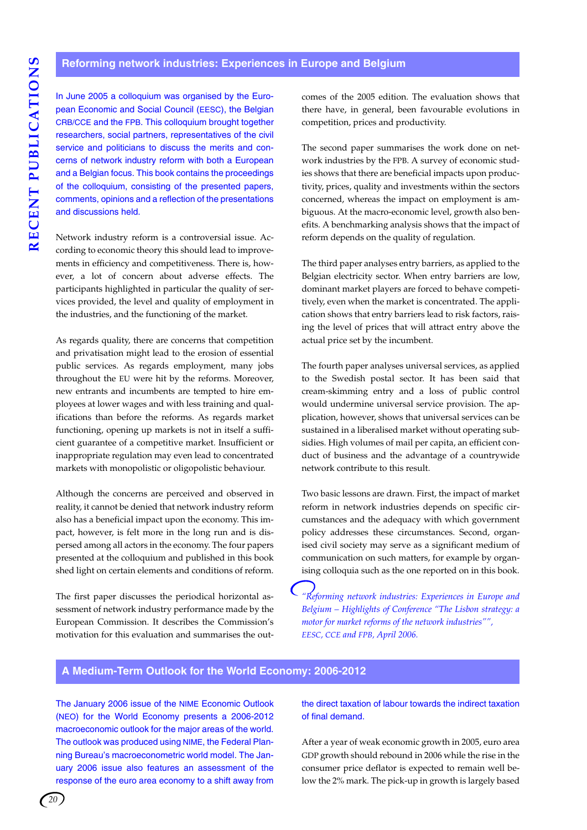In June 2005 a colloquium was organised by the European Economic and Social Council (EESC), the Belgian CRB/CCE and the FPB. This colloquium brought together researchers, social partners, representatives of the civil service and politicians to discuss the merits and concerns of network industry reform with both a European and a Belgian focus. This book contains the proceedings of the colloquium, consisting of the presented papers, comments, opinions and a reflection of the presentations and discussions held.

Network industry reform is a controversial issue. According to economic theory this should lead to improvements in efficiency and competitiveness. There is, however, a lot of concern about adverse effects. The participants highlighted in particular the quality of services provided, the level and quality of employment in the industries, and the functioning of the market.

As regards quality, there are concerns that competition and privatisation might lead to the erosion of essential public services. As regards employment, many jobs throughout the EU were hit by the reforms. Moreover, new entrants and incumbents are tempted to hire employees at lower wages and with less training and qualifications than before the reforms. As regards market functioning, opening up markets is not in itself a sufficient guarantee of a competitive market. Insufficient or inappropriate regulation may even lead to concentrated markets with monopolistic or oligopolistic behaviour.

Although the concerns are perceived and observed in reality, it cannot be denied that network industry reform also has a beneficial impact upon the economy. This impact, however, is felt more in the long run and is dispersed among all actors in the economy. The four papers presented at the colloquium and published in this book shed light on certain elements and conditions of reform.

The first paper discusses the periodical horizontal assessment of network industry performance made by the European Commission. It describes the Commission's motivation for this evaluation and summarises the outcomes of the 2005 edition. The evaluation shows that there have, in general, been favourable evolutions in competition, prices and productivity.

The second paper summarises the work done on network industries by the FPB. A survey of economic studies shows that there are beneficial impacts upon productivity, prices, quality and investments within the sectors concerned, whereas the impact on employment is ambiguous. At the macro-economic level, growth also benefits. A benchmarking analysis shows that the impact of reform depends on the quality of regulation.

The third paper analyses entry barriers, as applied to the Belgian electricity sector. When entry barriers are low, dominant market players are forced to behave competitively, even when the market is concentrated. The application shows that entry barriers lead to risk factors, raising the level of prices that will attract entry above the actual price set by the incumbent.

The fourth paper analyses universal services, as applied to the Swedish postal sector. It has been said that cream-skimming entry and a loss of public control would undermine universal service provision. The application, however, shows that universal services can be sustained in a liberalised market without operating subsidies. High volumes of mail per capita, an efficient conduct of business and the advantage of a countrywide network contribute to this result.

Two basic lessons are drawn. First, the impact of market reform in network industries depends on specific circumstances and the adequacy with which government policy addresses these circumstances. Second, organised civil society may serve as a significant medium of communication on such matters, for example by organising colloquia such as the one reported on in this book.

*"Reforming network industries: Experiences in Europe and Belgium – Highlights of Conference "The Lisbon strategy: a motor for market reforms of the network industries"", EESC, CCE and FPB, April 2006.*

#### **A Medium-Term Outlook for the World Economy: 2006-2012**

The January 2006 issue of the NIME Economic Outlook (NEO) for the World Economy presents a 2006-2012 macroeconomic outlook for the major areas of the world. The outlook was produced using NIME, the Federal Planning Bureau's macroeconometric world model. The January 2006 issue also features an assessment of the response of the euro area economy to a shift away from the direct taxation of labour towards the indirect taxation of final demand.

After a year of weak economic growth in 2005, euro area GDP growth should rebound in 2006 while the rise in the consumer price deflator is expected to remain well below the 2% mark. The pick-up in growth is largely based

*20*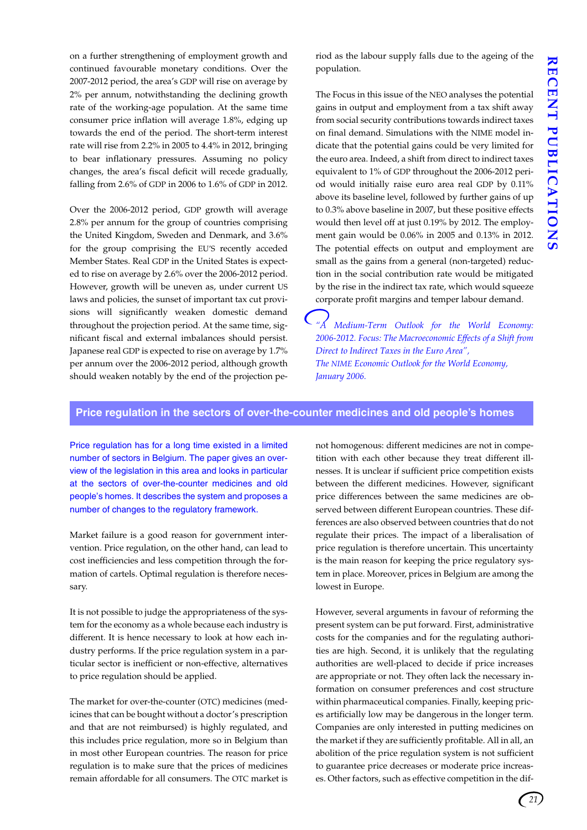on a further strengthening of employment growth and continued favourable monetary conditions. Over the 2007-2012 period, the area's GDP will rise on average by 2% per annum, notwithstanding the declining growth rate of the working-age population. At the same time consumer price inflation will average 1.8%, edging up towards the end of the period. The short-term interest rate will rise from 2.2% in 2005 to 4.4% in 2012, bringing to bear inflationary pressures. Assuming no policy changes, the area's fiscal deficit will recede gradually, falling from 2.6% of GDP in 2006 to 1.6% of GDP in 2012.

Over the 2006-2012 period, GDP growth will average 2.8% per annum for the group of countries comprising the United Kingdom, Sweden and Denmark, and 3.6% for the group comprising the EU'S recently acceded Member States. Real GDP in the United States is expected to rise on average by 2.6% over the 2006-2012 period. However, growth will be uneven as, under current US laws and policies, the sunset of important tax cut provisions will significantly weaken domestic demand throughout the projection period. At the same time, significant fiscal and external imbalances should persist. Japanese real GDP is expected to rise on average by 1.7% per annum over the 2006-2012 period, although growth should weaken notably by the end of the projection period as the labour supply falls due to the ageing of the population.

The Focus in this issue of the NEO analyses the potential gains in output and employment from a tax shift away from social security contributions towards indirect taxes on final demand. Simulations with the NIME model indicate that the potential gains could be very limited for the euro area. Indeed, a shift from direct to indirect taxes equivalent to 1% of GDP throughout the 2006-2012 period would initially raise euro area real GDP by 0.11% above its baseline level, followed by further gains of up to 0.3% above baseline in 2007, but these positive effects would then level off at just 0.19% by 2012. The employment gain would be 0.06% in 2005 and 0.13% in 2012. The potential effects on output and employment are small as the gains from a general (non-targeted) reduction in the social contribution rate would be mitigated by the rise in the indirect tax rate, which would squeeze corporate profit margins and temper labour demand.

*"A Medium-Term Outlook for the World Economy: 2006-2012. Focus: The Macroeconomic Effects of a Shift from Direct to Indirect Taxes in the Euro Area", The NIME Economic Outlook for the World Economy, January 2006.*

#### **Price regulation in the sectors of over-the-counter medicines and old people's homes**

Price regulation has for a long time existed in a limited number of sectors in Belgium. The paper gives an overview of the legislation in this area and looks in particular at the sectors of over-the-counter medicines and old people's homes. It describes the system and proposes a number of changes to the regulatory framework.

Market failure is a good reason for government intervention. Price regulation, on the other hand, can lead to cost inefficiencies and less competition through the formation of cartels. Optimal regulation is therefore necessary.

It is not possible to judge the appropriateness of the system for the economy as a whole because each industry is different. It is hence necessary to look at how each industry performs. If the price regulation system in a particular sector is inefficient or non-effective, alternatives to price regulation should be applied.

The market for over-the-counter (OTC) medicines (medicines that can be bought without a doctor's prescription and that are not reimbursed) is highly regulated, and this includes price regulation, more so in Belgium than in most other European countries. The reason for price regulation is to make sure that the prices of medicines remain affordable for all consumers. The OTC market is not homogenous: different medicines are not in competition with each other because they treat different illnesses. It is unclear if sufficient price competition exists between the different medicines. However, significant price differences between the same medicines are observed between different European countries. These differences are also observed between countries that do not regulate their prices. The impact of a liberalisation of price regulation is therefore uncertain. This uncertainty is the main reason for keeping the price regulatory system in place. Moreover, prices in Belgium are among the lowest in Europe.

However, several arguments in favour of reforming the present system can be put forward. First, administrative costs for the companies and for the regulating authorities are high. Second, it is unlikely that the regulating authorities are well-placed to decide if price increases are appropriate or not. They often lack the necessary information on consumer preferences and cost structure within pharmaceutical companies. Finally, keeping prices artificially low may be dangerous in the longer term. Companies are only interested in putting medicines on the market if they are sufficiently profitable. All in all, an abolition of the price regulation system is not sufficient to guarantee price decreases or moderate price increases. Other factors, such as effective competition in the dif-

*21*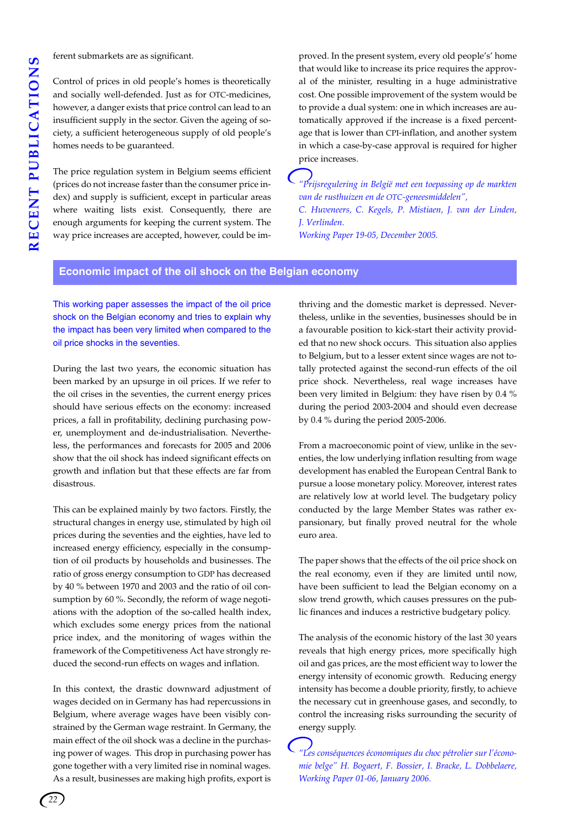ferent submarkets are as significant.

Control of prices in old people's homes is theoretically and socially well-defended. Just as for OTC-medicines, however, a danger exists that price control can lead to an insufficient supply in the sector. Given the ageing of society, a sufficient heterogeneous supply of old people's homes needs to be guaranteed.

The price regulation system in Belgium seems efficient (prices do not increase faster than the consumer price index) and supply is sufficient, except in particular areas where waiting lists exist. Consequently, there are enough arguments for keeping the current system. The way price increases are accepted, however, could be improved. In the present system, every old people's' home that would like to increase its price requires the approval of the minister, resulting in a huge administrative cost. One possible improvement of the system would be to provide a dual system: one in which increases are automatically approved if the increase is a fixed percentage that is lower than CPI-inflation, and another system in which a case-by-case approval is required for higher price increases.

*"Prijsregulering in België met een toepassing op de markten van de rusthuizen en de OTC-geneesmiddelen", C. Huveneers, C. Kegels, P. Mistiaen, J. van der Linden, J. Verlinden. Working Paper 19-05, December 2005.*

#### **Economic impact of the oil shock on the Belgian economy**

This working paper assesses the impact of the oil price shock on the Belgian economy and tries to explain why the impact has been very limited when compared to the oil price shocks in the seventies.

During the last two years, the economic situation has been marked by an upsurge in oil prices. If we refer to the oil crises in the seventies, the current energy prices should have serious effects on the economy: increased prices, a fall in profitability, declining purchasing power, unemployment and de-industrialisation. Nevertheless, the performances and forecasts for 2005 and 2006 show that the oil shock has indeed significant effects on growth and inflation but that these effects are far from disastrous.

This can be explained mainly by two factors. Firstly, the structural changes in energy use, stimulated by high oil prices during the seventies and the eighties, have led to increased energy efficiency, especially in the consumption of oil products by households and businesses. The ratio of gross energy consumption to GDP has decreased by 40 % between 1970 and 2003 and the ratio of oil consumption by 60 %. Secondly, the reform of wage negotiations with the adoption of the so-called health index, which excludes some energy prices from the national price index, and the monitoring of wages within the framework of the Competitiveness Act have strongly reduced the second-run effects on wages and inflation.

In this context, the drastic downward adjustment of wages decided on in Germany has had repercussions in Belgium, where average wages have been visibly constrained by the German wage restraint. In Germany, the main effect of the oil shock was a decline in the purchasing power of wages. This drop in purchasing power has gone together with a very limited rise in nominal wages. As a result, businesses are making high profits, export is

thriving and the domestic market is depressed. Nevertheless, unlike in the seventies, businesses should be in a favourable position to kick-start their activity provided that no new shock occurs. This situation also applies to Belgium, but to a lesser extent since wages are not totally protected against the second-run effects of the oil price shock. Nevertheless, real wage increases have been very limited in Belgium: they have risen by 0.4 % during the period 2003-2004 and should even decrease by 0.4 % during the period 2005-2006.

From a macroeconomic point of view, unlike in the seventies, the low underlying inflation resulting from wage development has enabled the European Central Bank to pursue a loose monetary policy. Moreover, interest rates are relatively low at world level. The budgetary policy conducted by the large Member States was rather expansionary, but finally proved neutral for the whole euro area.

The paper shows that the effects of the oil price shock on the real economy, even if they are limited until now, have been sufficient to lead the Belgian economy on a slow trend growth, which causes pressures on the public finances and induces a restrictive budgetary policy.

The analysis of the economic history of the last 30 years reveals that high energy prices, more specifically high oil and gas prices, are the most efficient way to lower the energy intensity of economic growth. Reducing energy intensity has become a double priority, firstly, to achieve the necessary cut in greenhouse gases, and secondly, to control the increasing risks surrounding the security of energy supply.

*"Les conséquences économiques du choc pétrolier sur l'économie belge" H. Bogaert, F. Bossier, I. Bracke, L. Dobbelaere, Working Paper 01-06, January 2006.*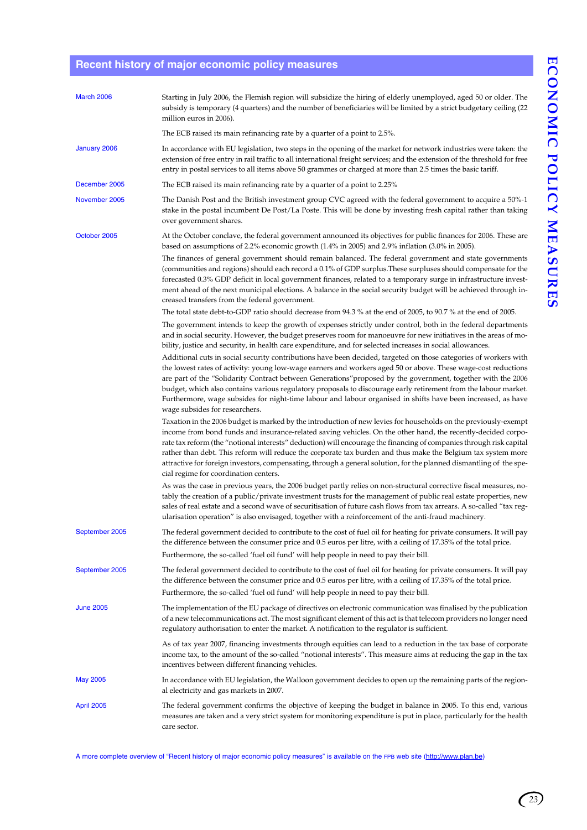### **Recent history of major economic policy measures**

| <b>March 2006</b> | Starting in July 2006, the Flemish region will subsidize the hiring of elderly unemployed, aged 50 or older. The<br>subsidy is temporary (4 quarters) and the number of beneficiaries will be limited by a strict budgetary ceiling (22<br>million euros in 2006).                                                                                                                                                                                                                                                                                                                                                                     |
|-------------------|----------------------------------------------------------------------------------------------------------------------------------------------------------------------------------------------------------------------------------------------------------------------------------------------------------------------------------------------------------------------------------------------------------------------------------------------------------------------------------------------------------------------------------------------------------------------------------------------------------------------------------------|
|                   | The ECB raised its main refinancing rate by a quarter of a point to 2.5%.                                                                                                                                                                                                                                                                                                                                                                                                                                                                                                                                                              |
| January 2006      | In accordance with EU legislation, two steps in the opening of the market for network industries were taken: the<br>extension of free entry in rail traffic to all international freight services; and the extension of the threshold for free<br>entry in postal services to all items above 50 grammes or charged at more than 2.5 times the basic tariff.                                                                                                                                                                                                                                                                           |
| December 2005     | The ECB raised its main refinancing rate by a quarter of a point to 2.25%                                                                                                                                                                                                                                                                                                                                                                                                                                                                                                                                                              |
| November 2005     | The Danish Post and the British investment group CVC agreed with the federal government to acquire a 50%-1<br>stake in the postal incumbent De Post/La Poste. This will be done by investing fresh capital rather than taking<br>over government shares.                                                                                                                                                                                                                                                                                                                                                                               |
| October 2005      | At the October conclave, the federal government announced its objectives for public finances for 2006. These are<br>based on assumptions of 2.2% economic growth (1.4% in 2005) and 2.9% inflation (3.0% in 2005).                                                                                                                                                                                                                                                                                                                                                                                                                     |
|                   | The finances of general government should remain balanced. The federal government and state governments<br>(communities and regions) should each record a 0.1% of GDP surplus. These surpluses should compensate for the<br>forecasted 0.3% GDP deficit in local government finances, related to a temporary surge in infrastructure invest-<br>ment ahead of the next municipal elections. A balance in the social security budget will be achieved through in-<br>creased transfers from the federal government.                                                                                                                     |
|                   | The total state debt-to-GDP ratio should decrease from 94.3 % at the end of 2005, to 90.7 % at the end of 2005.<br>The government intends to keep the growth of expenses strictly under control, both in the federal departments<br>and in social security. However, the budget preserves room for manoeuvre for new initiatives in the areas of mo-<br>bility, justice and security, in health care expenditure, and for selected increases in social allowances.                                                                                                                                                                     |
|                   | Additional cuts in social security contributions have been decided, targeted on those categories of workers with<br>the lowest rates of activity: young low-wage earners and workers aged 50 or above. These wage-cost reductions<br>are part of the "Solidarity Contract between Generations" proposed by the government, together with the 2006<br>budget, which also contains various regulatory proposals to discourage early retirement from the labour market.<br>Furthermore, wage subsides for night-time labour and labour organised in shifts have been increased, as have<br>wage subsides for researchers.                 |
|                   | Taxation in the 2006 budget is marked by the introduction of new levies for households on the previously-exempt<br>income from bond funds and insurance-related saving vehicles. On the other hand, the recently-decided corpo-<br>rate tax reform (the "notional interests" deduction) will encourage the financing of companies through risk capital<br>rather than debt. This reform will reduce the corporate tax burden and thus make the Belgium tax system more<br>attractive for foreign investors, compensating, through a general solution, for the planned dismantling of the spe-<br>cial regime for coordination centers. |
|                   | As was the case in previous years, the 2006 budget partly relies on non-structural corrective fiscal measures, no-<br>tably the creation of a public/private investment trusts for the management of public real estate properties, new<br>sales of real estate and a second wave of securitisation of future cash flows from tax arrears. A so-called "tax reg-<br>ularisation operation" is also envisaged, together with a reinforcement of the anti-fraud machinery.                                                                                                                                                               |
| September 2005    | The federal government decided to contribute to the cost of fuel oil for heating for private consumers. It will pay<br>the difference between the consumer price and 0.5 euros per litre, with a ceiling of 17.35% of the total price.<br>Furthermore, the so-called 'fuel oil fund' will help people in need to pay their bill.                                                                                                                                                                                                                                                                                                       |
| September 2005    | The federal government decided to contribute to the cost of fuel oil for heating for private consumers. It will pay<br>the difference between the consumer price and 0.5 euros per litre, with a ceiling of 17.35% of the total price.<br>Furthermore, the so-called 'fuel oil fund' will help people in need to pay their bill.                                                                                                                                                                                                                                                                                                       |
| <b>June 2005</b>  | The implementation of the EU package of directives on electronic communication was finalised by the publication<br>of a new telecommunications act. The most significant element of this act is that telecom providers no longer need<br>regulatory authorisation to enter the market. A notification to the regulator is sufficient.                                                                                                                                                                                                                                                                                                  |
|                   | As of tax year 2007, financing investments through equities can lead to a reduction in the tax base of corporate<br>income tax, to the amount of the so-called "notional interests". This measure aims at reducing the gap in the tax<br>incentives between different financing vehicles.                                                                                                                                                                                                                                                                                                                                              |
| <b>May 2005</b>   | In accordance with EU legislation, the Walloon government decides to open up the remaining parts of the region-<br>al electricity and gas markets in 2007.                                                                                                                                                                                                                                                                                                                                                                                                                                                                             |
| April 2005        | The federal government confirms the objective of keeping the budget in balance in 2005. To this end, various<br>measures are taken and a very strict system for monitoring expenditure is put in place, particularly for the health<br>care sector.                                                                                                                                                                                                                                                                                                                                                                                    |

A more complete overview of "Recent history of major economic policy measures" is available on the FPB web site (http://www.plan.be)